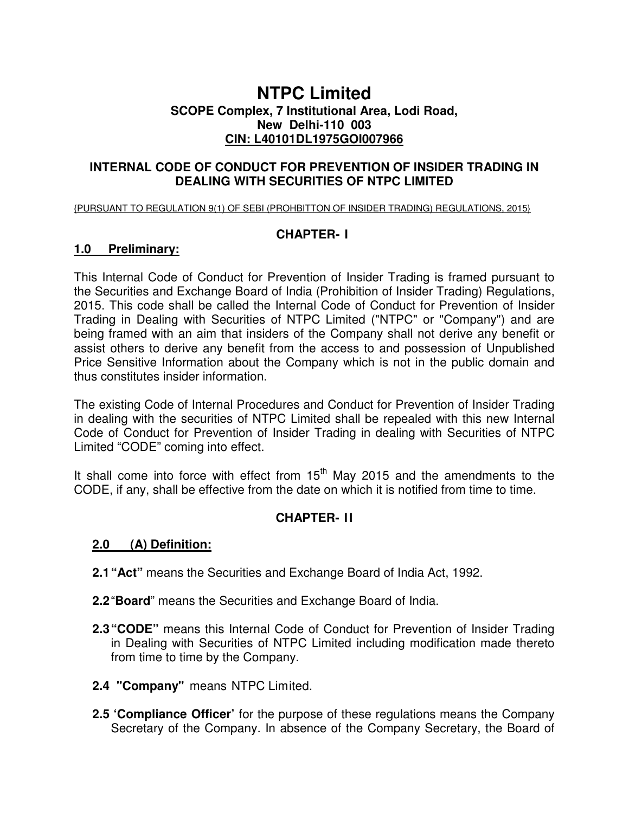# **NTPC Limited SCOPE Complex, 7 Institutional Area, Lodi Road, New Delhi-110 003 CIN: L40101DL1975GOI007966**

### **INTERNAL CODE OF CONDUCT FOR PREVENTION OF INSIDER TRADING IN DEALING WITH SECURITIES OF NTPC LIMITED**

{PURSUANT TO REGULATION 9(1) OF SEBI (PROHBITTON OF INSIDER TRADING) REGULATIONS, 2015}

## **CHAPTER- I**

### **1.0 Preliminary:**

This Internal Code of Conduct for Prevention of Insider Trading is framed pursuant to the Securities and Exchange Board of India (Prohibition of Insider Trading) Regulations, 2015. This code shall be called the Internal Code of Conduct for Prevention of Insider Trading in Dealing with Securities of NTPC Limited ("NTPC" or "Company") and are being framed with an aim that insiders of the Company shall not derive any benefit or assist others to derive any benefit from the access to and possession of Unpublished Price Sensitive Information about the Company which is not in the public domain and thus constitutes insider information.

The existing Code of Internal Procedures and Conduct for Prevention of Insider Trading in dealing with the securities of NTPC Limited shall be repealed with this new Internal Code of Conduct for Prevention of Insider Trading in dealing with Securities of NTPC Limited "CODE" coming into effect.

It shall come into force with effect from  $15<sup>th</sup>$  May 2015 and the amendments to the CODE, if any, shall be effective from the date on which it is notified from time to time.

# **CHAPTER- II**

# **2.0 (A) Definition:**

- **2.1 "Act"** means the Securities and Exchange Board of India Act, 1992.
- **2.2** "**Board**" means the Securities and Exchange Board of India.
- **2.3 "CODE"** means this Internal Code of Conduct for Prevention of Insider Trading in Dealing with Securities of NTPC Limited including modification made thereto from time to time by the Company.
- **2.4 "Company"** means NTPC Limited.
- **2.5 'Compliance Officer'** for the purpose of these regulations means the Company Secretary of the Company. In absence of the Company Secretary, the Board of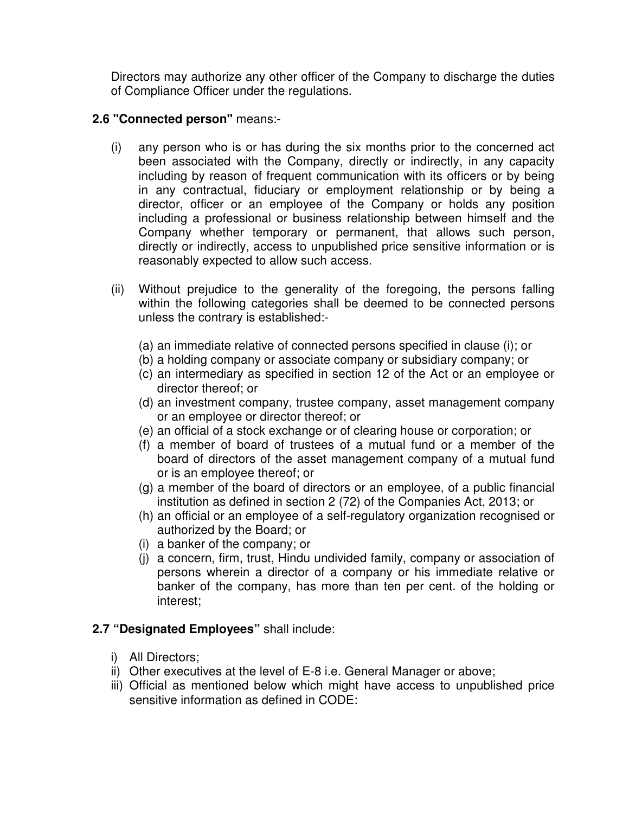Directors may authorize any other officer of the Company to discharge the duties of Compliance Officer under the regulations.

# **2.6 "Connected person"** means:-

- (i) any person who is or has during the six months prior to the concerned act been associated with the Company, directly or indirectly, in any capacity including by reason of frequent communication with its officers or by being in any contractual, fiduciary or employment relationship or by being a director, officer or an employee of the Company or holds any position including a professional or business relationship between himself and the Company whether temporary or permanent, that allows such person, directly or indirectly, access to unpublished price sensitive information or is reasonably expected to allow such access.
- (ii) Without prejudice to the generality of the foregoing, the persons falling within the following categories shall be deemed to be connected persons unless the contrary is established:-
	- (a) an immediate relative of connected persons specified in clause (i); or
	- (b) a holding company or associate company or subsidiary company; or
	- (c) an intermediary as specified in section 12 of the Act or an employee or director thereof; or
	- (d) an investment company, trustee company, asset management company or an employee or director thereof; or
	- (e) an official of a stock exchange or of clearing house or corporation; or
	- (f) a member of board of trustees of a mutual fund or a member of the board of directors of the asset management company of a mutual fund or is an employee thereof; or
	- (g) a member of the board of directors or an employee, of a public financial institution as defined in section 2 (72) of the Companies Act, 2013; or
	- (h) an official or an employee of a self-regulatory organization recognised or authorized by the Board; or
	- (i) a banker of the company; or
	- (j) a concern, firm, trust, Hindu undivided family, company or association of persons wherein a director of a company or his immediate relative or banker of the company, has more than ten per cent. of the holding or interest;

# **2.7 "Designated Employees"** shall include:

- i) All Directors;
- ii) Other executives at the level of E-8 i.e. General Manager or above;
- iii) Official as mentioned below which might have access to unpublished price sensitive information as defined in CODE: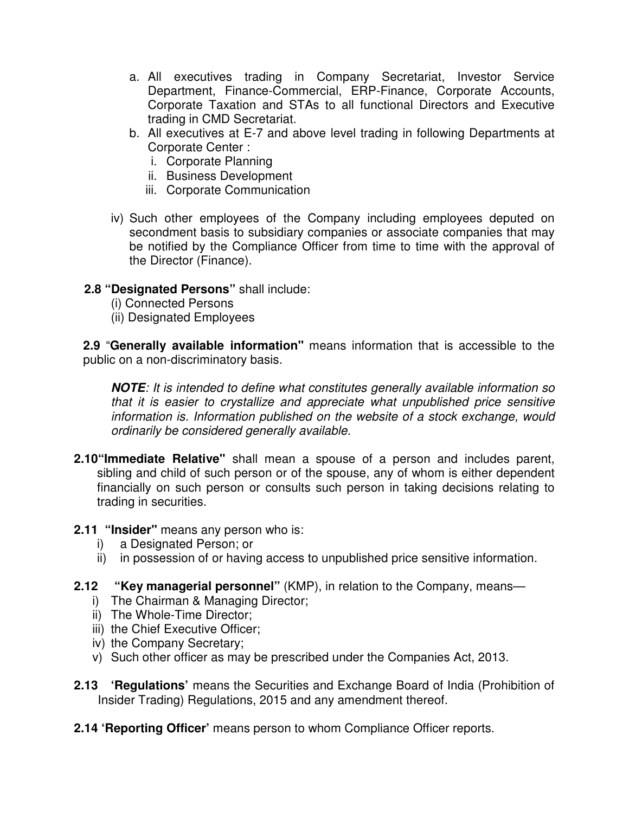- a. All executives trading in Company Secretariat, Investor Service Department, Finance-Commercial, ERP-Finance, Corporate Accounts, Corporate Taxation and STAs to all functional Directors and Executive trading in CMD Secretariat.
- b. All executives at E-7 and above level trading in following Departments at Corporate Center :
	- i. Corporate Planning
	- ii. Business Development
	- iii. Corporate Communication
- iv) Such other employees of the Company including employees deputed on secondment basis to subsidiary companies or associate companies that may be notified by the Compliance Officer from time to time with the approval of the Director (Finance).

## **2.8 "Designated Persons"** shall include:

- (i) Connected Persons
- (ii) Designated Employees

**2.9** "**Generally available information"** means information that is accessible to the public on a non-discriminatory basis.

**NOTE**: It is intended to define what constitutes generally available information so that it is easier to crystallize and appreciate what unpublished price sensitive information is. Information published on the website of a stock exchange, would ordinarily be considered generally available.

**2.10"Immediate Relative"** shall mean a spouse of a person and includes parent, sibling and child of such person or of the spouse, any of whom is either dependent financially on such person or consults such person in taking decisions relating to trading in securities.

### **2.11 "Insider"** means any person who is:

- i) a Designated Person; or
- ii) in possession of or having access to unpublished price sensitive information.
- **2.12 "Key managerial personnel"** (KMP), in relation to the Company, means
	- i) The Chairman & Managing Director;
	- ii) The Whole-Time Director;
	- iii) the Chief Executive Officer;
	- iv) the Company Secretary;
	- v) Such other officer as may be prescribed under the Companies Act, 2013.
- **2.13 'Regulations'** means the Securities and Exchange Board of India (Prohibition of Insider Trading) Regulations, 2015 and any amendment thereof.
- **2.14 'Reporting Officer'** means person to whom Compliance Officer reports.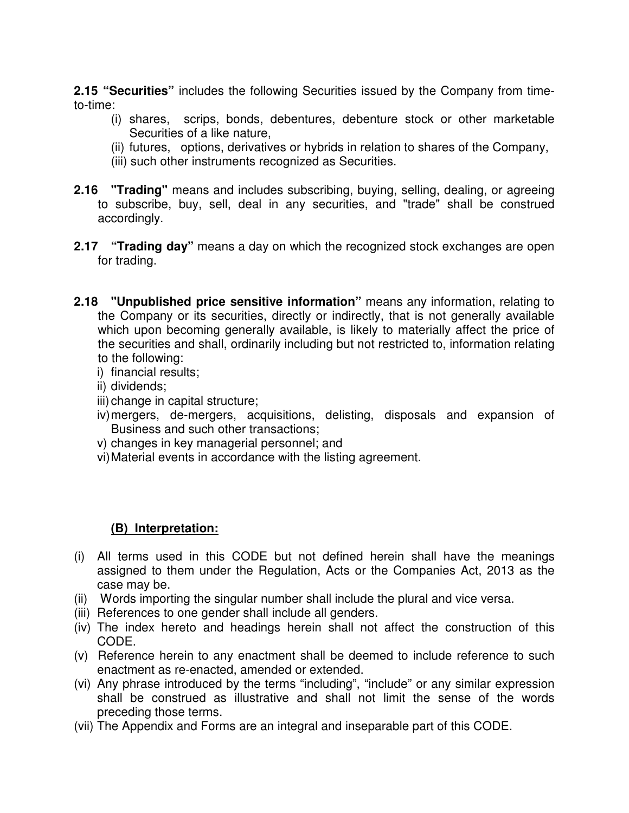**2.15 "Securities"** includes the following Securities issued by the Company from timeto-time:

- (i) shares, scrips, bonds, debentures, debenture stock or other marketable Securities of a like nature,
- (ii) futures, options, derivatives or hybrids in relation to shares of the Company,
- (iii) such other instruments recognized as Securities.
- **2.16 "Trading"** means and includes subscribing, buying, selling, dealing, or agreeing to subscribe, buy, sell, deal in any securities, and "trade" shall be construed accordingly.
- **2.17 "Trading day"** means a day on which the recognized stock exchanges are open for trading.
- **2.18 "Unpublished price sensitive information"** means any information, relating to the Company or its securities, directly or indirectly, that is not generally available which upon becoming generally available, is likely to materially affect the price of the securities and shall, ordinarily including but not restricted to, information relating to the following:
	- i) financial results;
	- ii) dividends;
	- iii) change in capital structure;
	- iv) mergers, de-mergers, acquisitions, delisting, disposals and expansion of Business and such other transactions;
	- v) changes in key managerial personnel; and
	- vi) Material events in accordance with the listing agreement.

# **(B) Interpretation:**

- (i) All terms used in this CODE but not defined herein shall have the meanings assigned to them under the Regulation, Acts or the Companies Act, 2013 as the case may be.
- (ii) Words importing the singular number shall include the plural and vice versa.
- (iii) References to one gender shall include all genders.
- (iv) The index hereto and headings herein shall not affect the construction of this CODE.
- (v) Reference herein to any enactment shall be deemed to include reference to such enactment as re-enacted, amended or extended.
- (vi) Any phrase introduced by the terms "including", "include" or any similar expression shall be construed as illustrative and shall not limit the sense of the words preceding those terms.
- (vii) The Appendix and Forms are an integral and inseparable part of this CODE.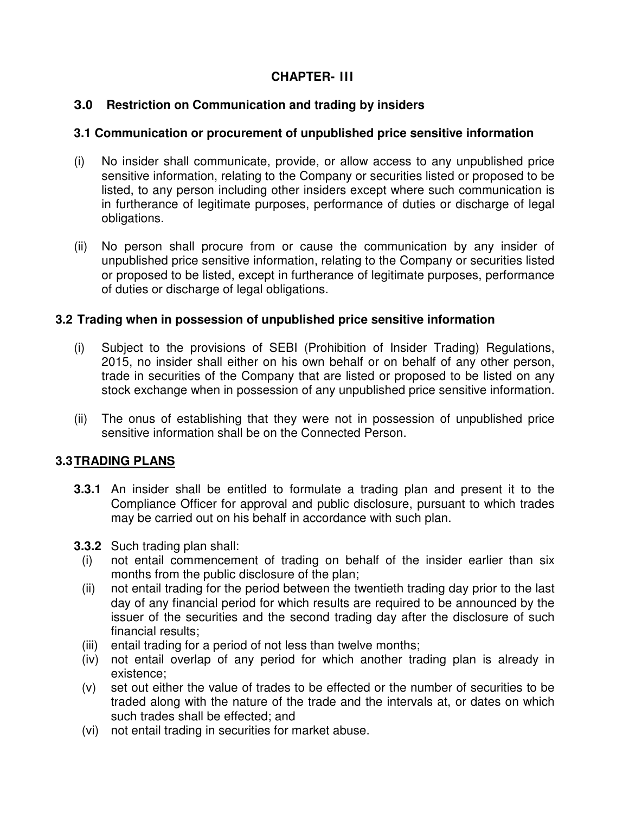# **CHAPTER- III**

# **3.0 Restriction on Communication and trading by insiders**

## **3.1 Communication or procurement of unpublished price sensitive information**

- (i) No insider shall communicate, provide, or allow access to any unpublished price sensitive information, relating to the Company or securities listed or proposed to be listed, to any person including other insiders except where such communication is in furtherance of legitimate purposes, performance of duties or discharge of legal obligations.
- (ii) No person shall procure from or cause the communication by any insider of unpublished price sensitive information, relating to the Company or securities listed or proposed to be listed, except in furtherance of legitimate purposes, performance of duties or discharge of legal obligations.

## **3.2 Trading when in possession of unpublished price sensitive information**

- (i) Subject to the provisions of SEBI (Prohibition of Insider Trading) Regulations, 2015, no insider shall either on his own behalf or on behalf of any other person, trade in securities of the Company that are listed or proposed to be listed on any stock exchange when in possession of any unpublished price sensitive information.
- (ii) The onus of establishing that they were not in possession of unpublished price sensitive information shall be on the Connected Person.

# **3.3 TRADING PLANS**

- **3.3.1** An insider shall be entitled to formulate a trading plan and present it to the Compliance Officer for approval and public disclosure, pursuant to which trades may be carried out on his behalf in accordance with such plan.
- **3.3.2** Such trading plan shall:
	- (i) not entail commencement of trading on behalf of the insider earlier than six months from the public disclosure of the plan;
	- (ii) not entail trading for the period between the twentieth trading day prior to the last day of any financial period for which results are required to be announced by the issuer of the securities and the second trading day after the disclosure of such financial results;
	- (iii) entail trading for a period of not less than twelve months;
	- (iv) not entail overlap of any period for which another trading plan is already in existence;
	- (v) set out either the value of trades to be effected or the number of securities to be traded along with the nature of the trade and the intervals at, or dates on which such trades shall be effected; and
	- (vi) not entail trading in securities for market abuse.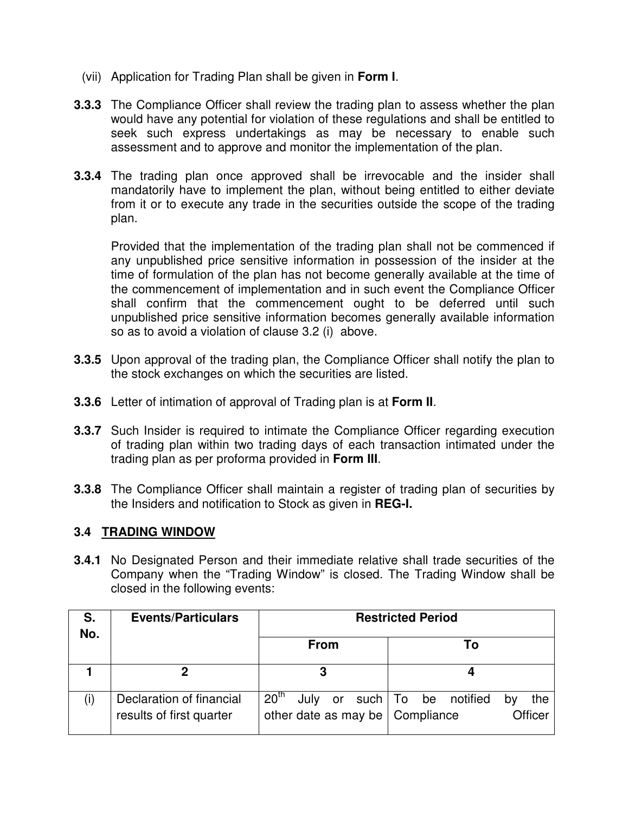- (vii) Application for Trading Plan shall be given in **Form I**.
- **3.3.3** The Compliance Officer shall review the trading plan to assess whether the plan would have any potential for violation of these regulations and shall be entitled to seek such express undertakings as may be necessary to enable such assessment and to approve and monitor the implementation of the plan.
- **3.3.4** The trading plan once approved shall be irrevocable and the insider shall mandatorily have to implement the plan, without being entitled to either deviate from it or to execute any trade in the securities outside the scope of the trading plan.

Provided that the implementation of the trading plan shall not be commenced if any unpublished price sensitive information in possession of the insider at the time of formulation of the plan has not become generally available at the time of the commencement of implementation and in such event the Compliance Officer shall confirm that the commencement ought to be deferred until such unpublished price sensitive information becomes generally available information so as to avoid a violation of clause 3.2 (i) above.

- **3.3.5** Upon approval of the trading plan, the Compliance Officer shall notify the plan to the stock exchanges on which the securities are listed.
- **3.3.6** Letter of intimation of approval of Trading plan is at **Form II**.
- **3.3.7** Such Insider is required to intimate the Compliance Officer regarding execution of trading plan within two trading days of each transaction intimated under the trading plan as per proforma provided in **Form III**.
- **3.3.8** The Compliance Officer shall maintain a register of trading plan of securities by the Insiders and notification to Stock as given in **REG-I.**

### **3.4 TRADING WINDOW**

**3.4.1** No Designated Person and their immediate relative shall trade securities of the Company when the "Trading Window" is closed. The Trading Window shall be closed in the following events:

| S.<br>No. | <b>Events/Particulars</b>                            | <b>Restricted Period</b>                                            |                                               |  |  |  |  |
|-----------|------------------------------------------------------|---------------------------------------------------------------------|-----------------------------------------------|--|--|--|--|
|           |                                                      | <b>From</b>                                                         | То                                            |  |  |  |  |
|           |                                                      | פ                                                                   |                                               |  |  |  |  |
|           | Declaration of financial<br>results of first quarter | 20 <sup>th</sup><br>July<br>or<br>other date as may be   Compliance | such   To be notified<br>the<br>b٧<br>Officer |  |  |  |  |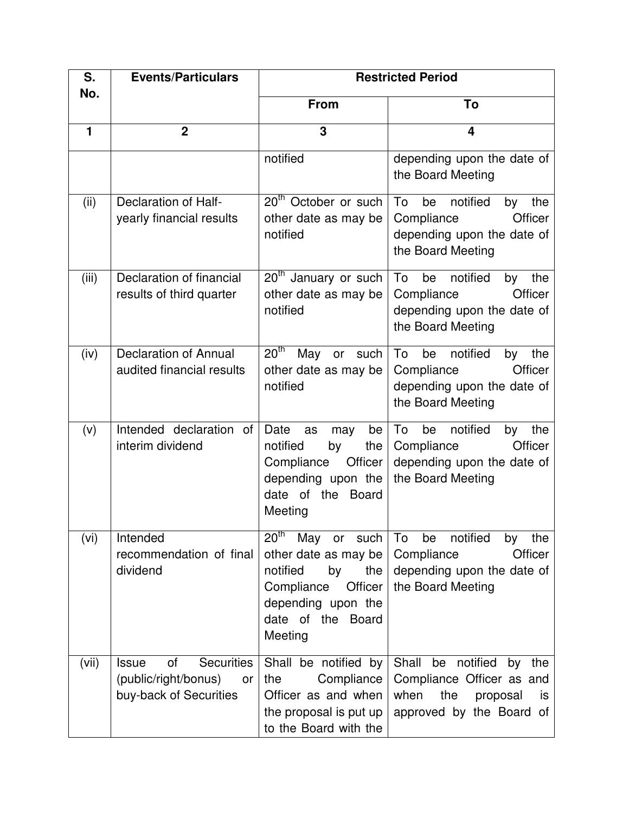| S.<br>No. | <b>Events/Particulars</b>                                                                       | <b>Restricted Period</b>                                                                                                                                                 |                                                                                                                          |  |  |  |
|-----------|-------------------------------------------------------------------------------------------------|--------------------------------------------------------------------------------------------------------------------------------------------------------------------------|--------------------------------------------------------------------------------------------------------------------------|--|--|--|
|           |                                                                                                 | <b>From</b>                                                                                                                                                              | To                                                                                                                       |  |  |  |
| 1         | $\overline{2}$                                                                                  | 3                                                                                                                                                                        | $\overline{\mathbf{4}}$                                                                                                  |  |  |  |
|           |                                                                                                 | notified                                                                                                                                                                 | depending upon the date of<br>the Board Meeting                                                                          |  |  |  |
| (ii)      | <b>Declaration of Half-</b><br>yearly financial results                                         | 20 <sup>th</sup> October or such<br>other date as may be<br>notified                                                                                                     | To<br>be<br>notified<br>by<br>the<br>Officer<br>Compliance<br>depending upon the date of<br>the Board Meeting            |  |  |  |
| (iii)     | Declaration of financial<br>results of third quarter                                            | 20 <sup>th</sup> January or such<br>other date as may be<br>notified                                                                                                     | To<br>be<br>notified<br>the<br>by<br>Officer<br>Compliance<br>depending upon the date of<br>the Board Meeting            |  |  |  |
| (iv)      | <b>Declaration of Annual</b><br>audited financial results                                       | 20 <sup>th</sup><br>May<br>such<br>or<br>other date as may be<br>notified                                                                                                | To<br>be<br>notified<br>the<br>by<br>Officer<br>Compliance<br>depending upon the date of<br>the Board Meeting            |  |  |  |
| (v)       | Intended declaration of<br>interim dividend                                                     | Date<br>be<br>as<br>may<br>notified<br>by<br>the<br>Compliance<br>Officer<br>depending upon the<br>date of the<br><b>Board</b><br>Meeting                                | notified<br>To<br>be<br>the<br>by<br>Officer<br>Compliance<br>depending upon the date of<br>the Board Meeting            |  |  |  |
| (vi)      | Intended<br>recommendation of final<br>dividend                                                 | $20^{\text{th}}$<br>May<br>such<br>or<br>other date as may be<br>notified<br>by<br>the<br>Compliance<br>Officer<br>depending upon the<br>date of the<br>Board<br>Meeting | notified<br>the<br>To<br>be<br>by<br>Compliance<br>Officer<br>depending upon the date of<br>the Board Meeting            |  |  |  |
| (vii)     | <b>Securities</b><br><b>Issue</b><br>οf<br>(public/right/bonus)<br>or<br>buy-back of Securities | Shall be notified by<br>the<br>Compliance<br>Officer as and when<br>the proposal is put up<br>to the Board with the                                                      | Shall be<br>notified<br>by the<br>Compliance Officer as and<br>when<br>the<br>proposal<br>is<br>approved by the Board of |  |  |  |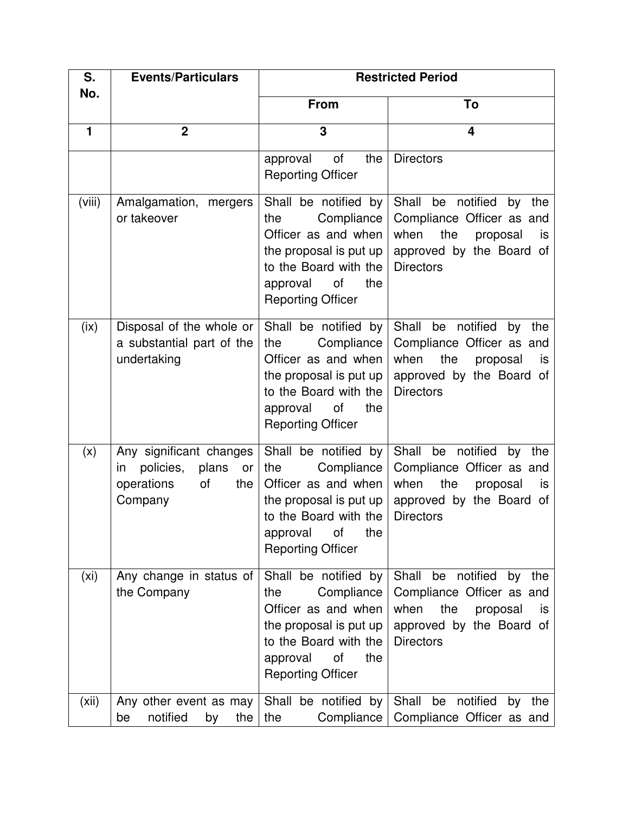| S.<br>No. | <b>Events/Particulars</b>                                                                       | <b>Restricted Period</b>                                                                                                                                                 |                                                                                                                                                    |  |  |  |  |
|-----------|-------------------------------------------------------------------------------------------------|--------------------------------------------------------------------------------------------------------------------------------------------------------------------------|----------------------------------------------------------------------------------------------------------------------------------------------------|--|--|--|--|
|           |                                                                                                 | <b>From</b>                                                                                                                                                              | To                                                                                                                                                 |  |  |  |  |
| 1         | $\overline{2}$                                                                                  | 3                                                                                                                                                                        | $\overline{\mathbf{4}}$                                                                                                                            |  |  |  |  |
|           |                                                                                                 | <b>of</b><br>approval<br>the<br><b>Reporting Officer</b>                                                                                                                 | <b>Directors</b>                                                                                                                                   |  |  |  |  |
| (viii)    | Amalgamation, mergers<br>or takeover                                                            | Shall be notified by<br>Compliance<br>the<br>Officer as and when<br>the proposal is put up<br>to the Board with the<br>of<br>the<br>approval<br><b>Reporting Officer</b> | Shall be notified by the<br>Compliance Officer as and<br>when<br>the<br>proposal<br>is<br>approved by the Board of<br><b>Directors</b>             |  |  |  |  |
| (ix)      | Disposal of the whole or<br>a substantial part of the<br>undertaking                            | Shall be notified by<br>Compliance<br>the<br>Officer as and when<br>the proposal is put up<br>to the Board with the<br>approval<br>of<br>the<br><b>Reporting Officer</b> | Shall<br>be notified<br>by<br>the<br>Compliance Officer as and<br>when<br>the<br>proposal<br>is<br>approved by the Board of<br><b>Directors</b>    |  |  |  |  |
| (x)       | Any significant changes<br>policies,<br>plans<br>or<br>in<br>operations<br>of<br>the<br>Company | Shall be notified by<br>the<br>Compliance<br>Officer as and when<br>the proposal is put up<br>to the Board with the<br>approval<br>Οf<br>the<br><b>Reporting Officer</b> | Shall<br>be notified<br>by<br>the<br>Compliance Officer as and<br>when<br>the<br>proposal<br>is<br>approved by the Board of<br><b>Directors</b>    |  |  |  |  |
| (xi)      | Any change in status of<br>the Company                                                          | Shall be notified by<br>Compliance<br>the<br>Officer as and when<br>the proposal is put up<br>to the Board with the<br>of<br>approval<br>the<br><b>Reporting Officer</b> | Shall<br>notified<br>be<br>by<br>the<br>Compliance Officer as and<br>the<br>when<br>proposal<br>is<br>approved by the Board of<br><b>Directors</b> |  |  |  |  |
| (xii)     | Any other event as may<br>notified<br>the<br>by<br>be                                           | Shall be notified by<br>the<br>Compliance                                                                                                                                | Shall be notified<br>by the<br>Compliance Officer as and                                                                                           |  |  |  |  |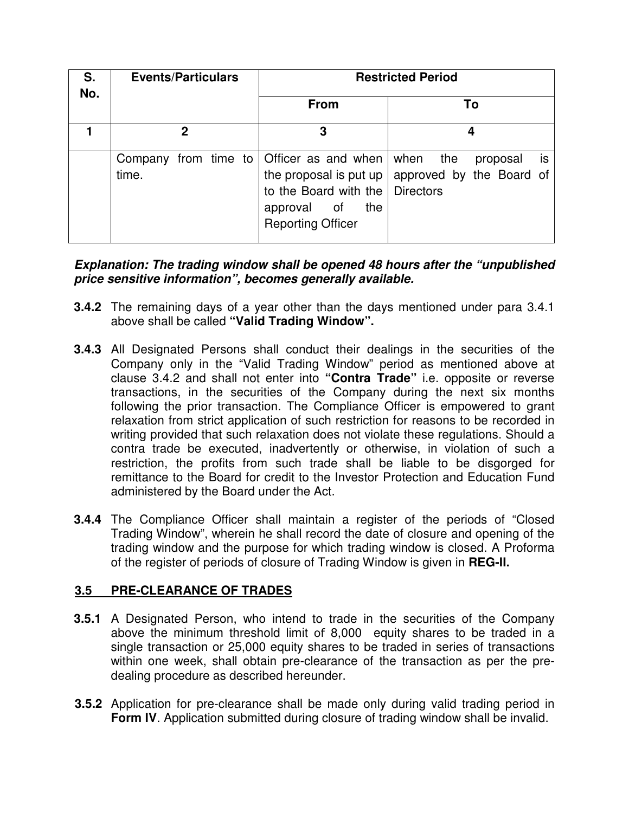| S.<br>No. | <b>Events/Particulars</b>                             | <b>Restricted Period</b>                                                            |                                                                                           |  |  |  |  |
|-----------|-------------------------------------------------------|-------------------------------------------------------------------------------------|-------------------------------------------------------------------------------------------|--|--|--|--|
|           |                                                       | <b>From</b>                                                                         | To                                                                                        |  |  |  |  |
|           | 2                                                     | 3                                                                                   |                                                                                           |  |  |  |  |
|           | Company from time to   Officer as and when  <br>time. | to the Board with the   Directors<br>the<br>approval of<br><b>Reporting Officer</b> | the<br>when<br>is.<br>proposal<br>the proposal is put up $\vert$ approved by the Board of |  |  |  |  |

**Explanation: The trading window shall be opened 48 hours after the "unpublished price sensitive information", becomes generally available.** 

- **3.4.2** The remaining days of a year other than the days mentioned under para 3.4.1 above shall be called **"Valid Trading Window".**
- **3.4.3** All Designated Persons shall conduct their dealings in the securities of the Company only in the "Valid Trading Window" period as mentioned above at clause 3.4.2 and shall not enter into **"Contra Trade"** i.e. opposite or reverse transactions, in the securities of the Company during the next six months following the prior transaction. The Compliance Officer is empowered to grant relaxation from strict application of such restriction for reasons to be recorded in writing provided that such relaxation does not violate these regulations. Should a contra trade be executed, inadvertently or otherwise, in violation of such a restriction, the profits from such trade shall be liable to be disgorged for remittance to the Board for credit to the Investor Protection and Education Fund administered by the Board under the Act.
- **3.4.4** The Compliance Officer shall maintain a register of the periods of "Closed Trading Window", wherein he shall record the date of closure and opening of the trading window and the purpose for which trading window is closed. A Proforma of the register of periods of closure of Trading Window is given in **REG-II.**

# **3.5 PRE-CLEARANCE OF TRADES**

- **3.5.1** A Designated Person, who intend to trade in the securities of the Company above the minimum threshold limit of 8,000 equity shares to be traded in a single transaction or 25,000 equity shares to be traded in series of transactions within one week, shall obtain pre-clearance of the transaction as per the predealing procedure as described hereunder.
- **3.5.2** Application for pre-clearance shall be made only during valid trading period in **Form IV.** Application submitted during closure of trading window shall be invalid.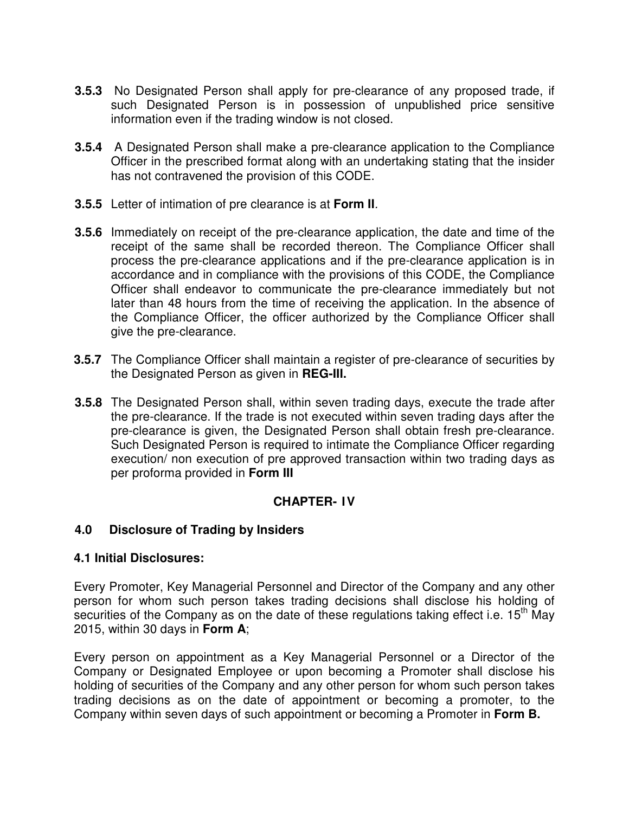- **3.5.3** No Designated Person shall apply for pre-clearance of any proposed trade, if such Designated Person is in possession of unpublished price sensitive information even if the trading window is not closed.
- **3.5.4** A Designated Person shall make a pre-clearance application to the Compliance Officer in the prescribed format along with an undertaking stating that the insider has not contravened the provision of this CODE.
- **3.5.5** Letter of intimation of pre clearance is at **Form II**.
- **3.5.6** Immediately on receipt of the pre-clearance application, the date and time of the receipt of the same shall be recorded thereon. The Compliance Officer shall process the pre-clearance applications and if the pre-clearance application is in accordance and in compliance with the provisions of this CODE, the Compliance Officer shall endeavor to communicate the pre-clearance immediately but not later than 48 hours from the time of receiving the application. In the absence of the Compliance Officer, the officer authorized by the Compliance Officer shall give the pre-clearance.
- **3.5.7** The Compliance Officer shall maintain a register of pre-clearance of securities by the Designated Person as given in **REG-III.**
- **3.5.8** The Designated Person shall, within seven trading days, execute the trade after the pre-clearance. If the trade is not executed within seven trading days after the pre-clearance is given, the Designated Person shall obtain fresh pre-clearance. Such Designated Person is required to intimate the Compliance Officer regarding execution/ non execution of pre approved transaction within two trading days as per proforma provided in **Form III**

# **CHAPTER- IV**

# **4.0 Disclosure of Trading by Insiders**

# **4.1 Initial Disclosures:**

Every Promoter, Key Managerial Personnel and Director of the Company and any other person for whom such person takes trading decisions shall disclose his holding of securities of the Company as on the date of these regulations taking effect i.e.  $15<sup>th</sup>$  May 2015, within 30 days in **Form A**;

Every person on appointment as a Key Managerial Personnel or a Director of the Company or Designated Employee or upon becoming a Promoter shall disclose his holding of securities of the Company and any other person for whom such person takes trading decisions as on the date of appointment or becoming a promoter, to the Company within seven days of such appointment or becoming a Promoter in **Form B.**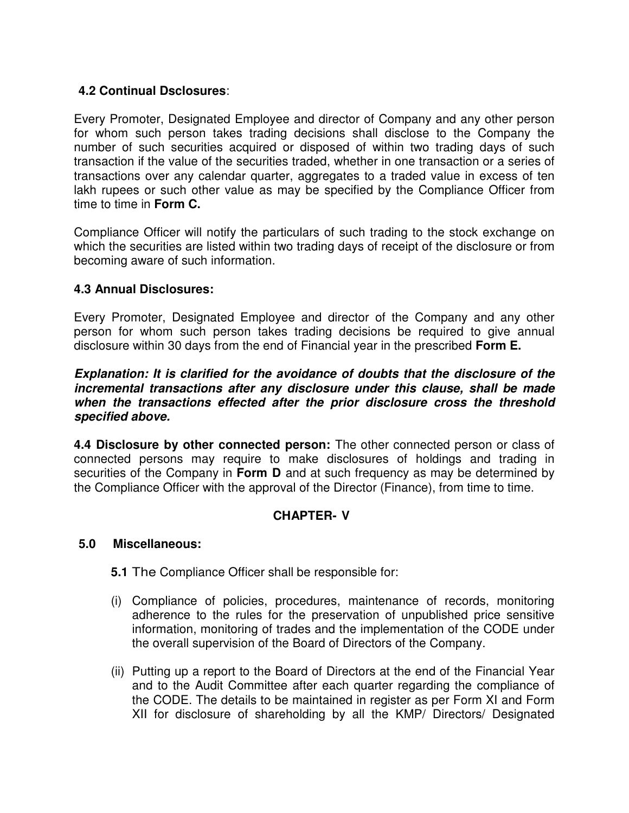# **4.2 Continual Dsclosures**:

Every Promoter, Designated Employee and director of Company and any other person for whom such person takes trading decisions shall disclose to the Company the number of such securities acquired or disposed of within two trading days of such transaction if the value of the securities traded, whether in one transaction or a series of transactions over any calendar quarter, aggregates to a traded value in excess of ten lakh rupees or such other value as may be specified by the Compliance Officer from time to time in **Form C.**

Compliance Officer will notify the particulars of such trading to the stock exchange on which the securities are listed within two trading days of receipt of the disclosure or from becoming aware of such information.

# **4.3 Annual Disclosures:**

Every Promoter, Designated Employee and director of the Company and any other person for whom such person takes trading decisions be required to give annual disclosure within 30 days from the end of Financial year in the prescribed **Form E.**

### **Explanation: It is clarified for the avoidance of doubts that the disclosure of the incremental transactions after any disclosure under this clause, shall be made when the transactions effected after the prior disclosure cross the threshold specified above.**

**4.4 Disclosure by other connected person:** The other connected person or class of connected persons may require to make disclosures of holdings and trading in securities of the Company in **Form D** and at such frequency as may be determined by the Compliance Officer with the approval of the Director (Finance), from time to time.

# **CHAPTER- V**

### **5.0 Miscellaneous:**

**5.1** The Compliance Officer shall be responsible for:

- (i) Compliance of policies, procedures, maintenance of records, monitoring adherence to the rules for the preservation of unpublished price sensitive information, monitoring of trades and the implementation of the CODE under the overall supervision of the Board of Directors of the Company.
- (ii) Putting up a report to the Board of Directors at the end of the Financial Year and to the Audit Committee after each quarter regarding the compliance of the CODE. The details to be maintained in register as per Form XI and Form XII for disclosure of shareholding by all the KMP/ Directors/ Designated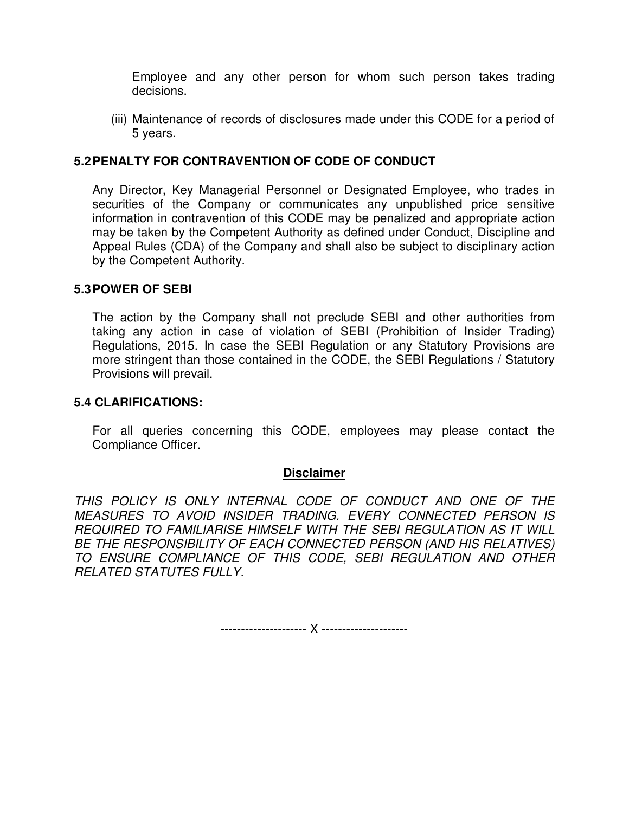Employee and any other person for whom such person takes trading decisions.

(iii) Maintenance of records of disclosures made under this CODE for a period of 5 years.

## **5.2 PENALTY FOR CONTRAVENTION OF CODE OF CONDUCT**

Any Director, Key Managerial Personnel or Designated Employee, who trades in securities of the Company or communicates any unpublished price sensitive information in contravention of this CODE may be penalized and appropriate action may be taken by the Competent Authority as defined under Conduct, Discipline and Appeal Rules (CDA) of the Company and shall also be subject to disciplinary action by the Competent Authority.

#### **5.3 POWER OF SEBI**

The action by the Company shall not preclude SEBI and other authorities from taking any action in case of violation of SEBI (Prohibition of Insider Trading) Regulations, 2015. In case the SEBI Regulation or any Statutory Provisions are more stringent than those contained in the CODE, the SEBI Regulations / Statutory Provisions will prevail.

### **5.4 CLARIFICATIONS:**

For all queries concerning this CODE, employees may please contact the Compliance Officer.

### **Disclaimer**

THIS POLICY IS ONLY INTERNAL CODE OF CONDUCT AND ONE OF THE MEASURES TO AVOID INSIDER TRADING. EVERY CONNECTED PERSON IS REQUIRED TO FAMILIARISE HIMSELF WITH THE SEBI REGULATION AS IT WILL BE THE RESPONSIBILITY OF EACH CONNECTED PERSON (AND HIS RELATIVES) TO ENSURE COMPLIANCE OF THIS CODE, SEBI REGULATION AND OTHER RELATED STATUTES FULLY.

--------------------- X ---------------------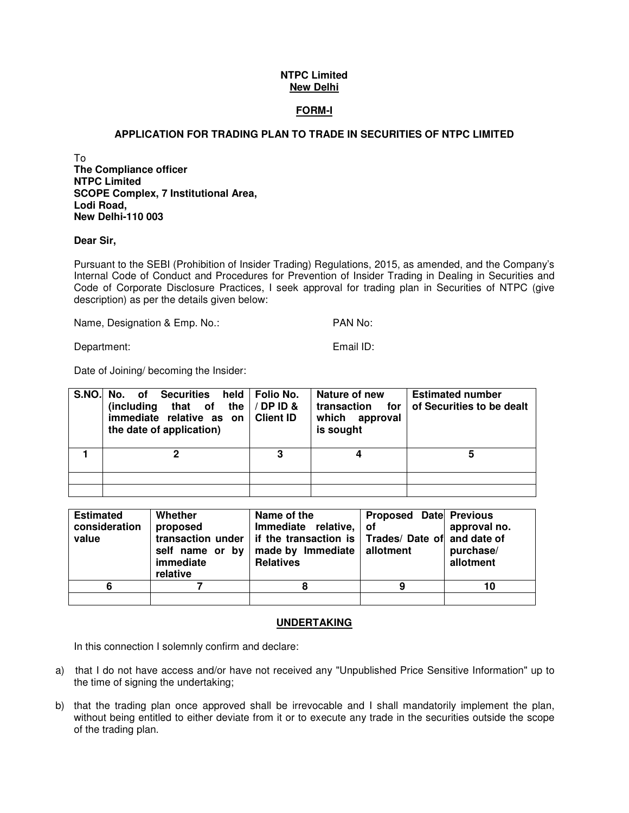#### **FORM-I**

#### **APPLICATION FOR TRADING PLAN TO TRADE IN SECURITIES OF NTPC LIMITED**

To **The Compliance officer NTPC Limited SCOPE Complex, 7 Institutional Area, Lodi Road, New Delhi-110 003** 

#### **Dear Sir,**

Pursuant to the SEBI (Prohibition of Insider Trading) Regulations, 2015, as amended, and the Company's Internal Code of Conduct and Procedures for Prevention of Insider Trading in Dealing in Securities and Code of Corporate Disclosure Practices, I seek approval for trading plan in Securities of NTPC (give description) as per the details given below:

Name, Designation & Emp. No.: PAN No:

Department: Email ID:

Date of Joining/ becoming the Insider:

| S.NO. No. of Securities<br>(including that of the<br>immediate relative as on<br>the date of application) | held   Folio No.<br>/ DP ID &<br><b>Client ID</b> | Nature of new<br>transaction<br>for<br>which approval<br>is sought | <b>Estimated number</b><br>of Securities to be dealt |
|-----------------------------------------------------------------------------------------------------------|---------------------------------------------------|--------------------------------------------------------------------|------------------------------------------------------|
|                                                                                                           | 3                                                 |                                                                    | 5                                                    |
|                                                                                                           |                                                   |                                                                    |                                                      |
|                                                                                                           |                                                   |                                                                    |                                                      |

| <b>Estimated</b><br>consideration<br>value | Whether<br>proposed<br>transaction under<br>self name or by<br>immediate<br>relative | Name of the<br>Immediate relative, of<br>if the transaction is Trades/ Date of and date of<br>made by Immediate   allotment<br><b>Relatives</b> | Proposed Date Previous | approval no.<br>purchase/<br>allotment |
|--------------------------------------------|--------------------------------------------------------------------------------------|-------------------------------------------------------------------------------------------------------------------------------------------------|------------------------|----------------------------------------|
| 6                                          |                                                                                      |                                                                                                                                                 |                        | 10                                     |
|                                            |                                                                                      |                                                                                                                                                 |                        |                                        |

#### **UNDERTAKING**

In this connection I solemnly confirm and declare:

- a) that I do not have access and/or have not received any "Unpublished Price Sensitive Information" up to the time of signing the undertaking;
- b) that the trading plan once approved shall be irrevocable and I shall mandatorily implement the plan, without being entitled to either deviate from it or to execute any trade in the securities outside the scope of the trading plan.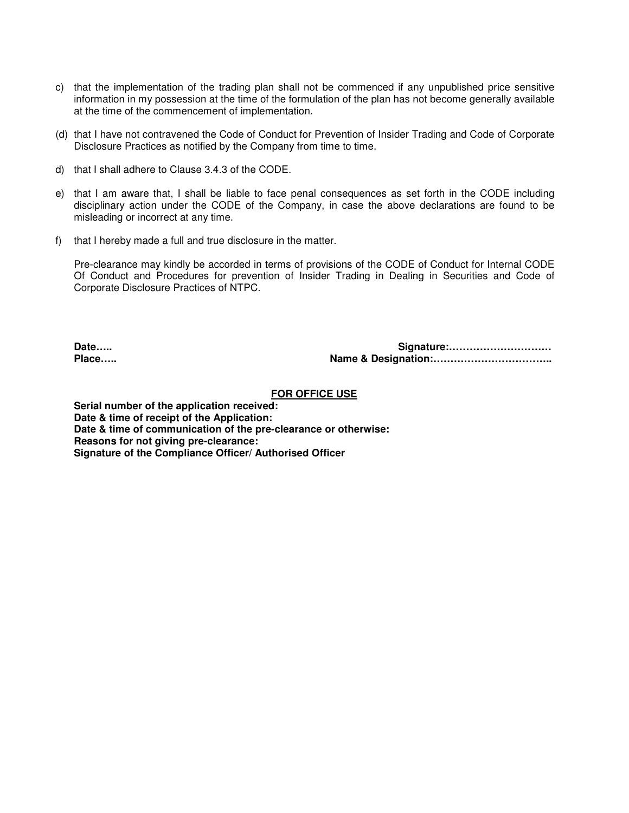- c) that the implementation of the trading plan shall not be commenced if any unpublished price sensitive information in my possession at the time of the formulation of the plan has not become generally available at the time of the commencement of implementation.
- (d) that I have not contravened the Code of Conduct for Prevention of Insider Trading and Code of Corporate Disclosure Practices as notified by the Company from time to time.
- d) that I shall adhere to Clause 3.4.3 of the CODE.
- e) that I am aware that, I shall be liable to face penal consequences as set forth in the CODE including disciplinary action under the CODE of the Company, in case the above declarations are found to be misleading or incorrect at any time.
- f) that I hereby made a full and true disclosure in the matter.

Pre-clearance may kindly be accorded in terms of provisions of the CODE of Conduct for Internal CODE Of Conduct and Procedures for prevention of Insider Trading in Dealing in Securities and Code of Corporate Disclosure Practices of NTPC.

**Date….. Signature:………………………… Place….. Name & Designation:……………………………..** 

#### **FOR OFFICE USE**

**Serial number of the application received: Date & time of receipt of the Application: Date & time of communication of the pre-clearance or otherwise: Reasons for not giving pre-clearance: Signature of the Compliance Officer/ Authorised Officer**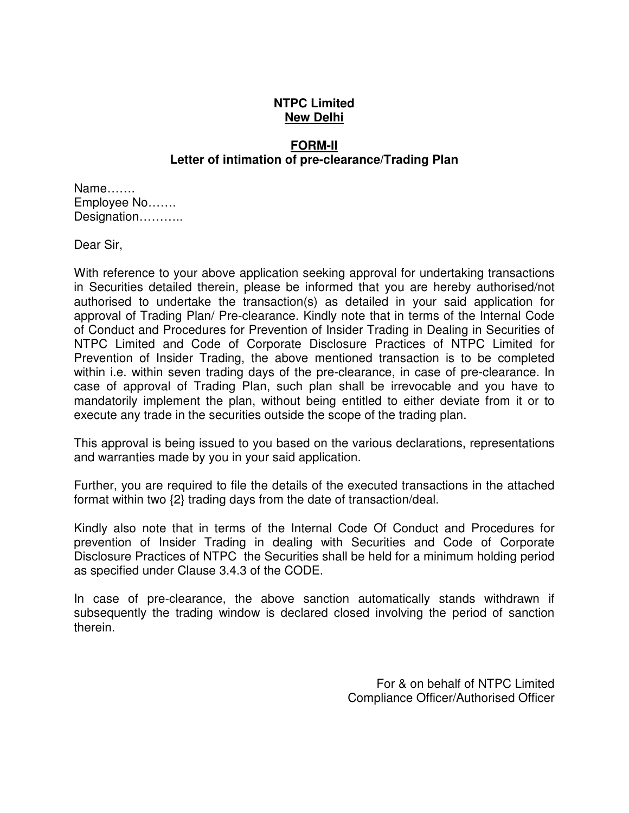### **FORM-II Letter of intimation of pre-clearance/Trading Plan**

Name……. Employee No……. Designation………..

Dear Sir,

With reference to your above application seeking approval for undertaking transactions in Securities detailed therein, please be informed that you are hereby authorised/not authorised to undertake the transaction(s) as detailed in your said application for approval of Trading Plan/ Pre-clearance. Kindly note that in terms of the Internal Code of Conduct and Procedures for Prevention of Insider Trading in Dealing in Securities of NTPC Limited and Code of Corporate Disclosure Practices of NTPC Limited for Prevention of Insider Trading, the above mentioned transaction is to be completed within i.e. within seven trading days of the pre-clearance, in case of pre-clearance. In case of approval of Trading Plan, such plan shall be irrevocable and you have to mandatorily implement the plan, without being entitled to either deviate from it or to execute any trade in the securities outside the scope of the trading plan.

This approval is being issued to you based on the various declarations, representations and warranties made by you in your said application.

Further, you are required to file the details of the executed transactions in the attached format within two {2} trading days from the date of transaction/deal.

Kindly also note that in terms of the Internal Code Of Conduct and Procedures for prevention of Insider Trading in dealing with Securities and Code of Corporate Disclosure Practices of NTPC the Securities shall be held for a minimum holding period as specified under Clause 3.4.3 of the CODE.

In case of pre-clearance, the above sanction automatically stands withdrawn if subsequently the trading window is declared closed involving the period of sanction therein.

> For & on behalf of NTPC Limited Compliance Officer/Authorised Officer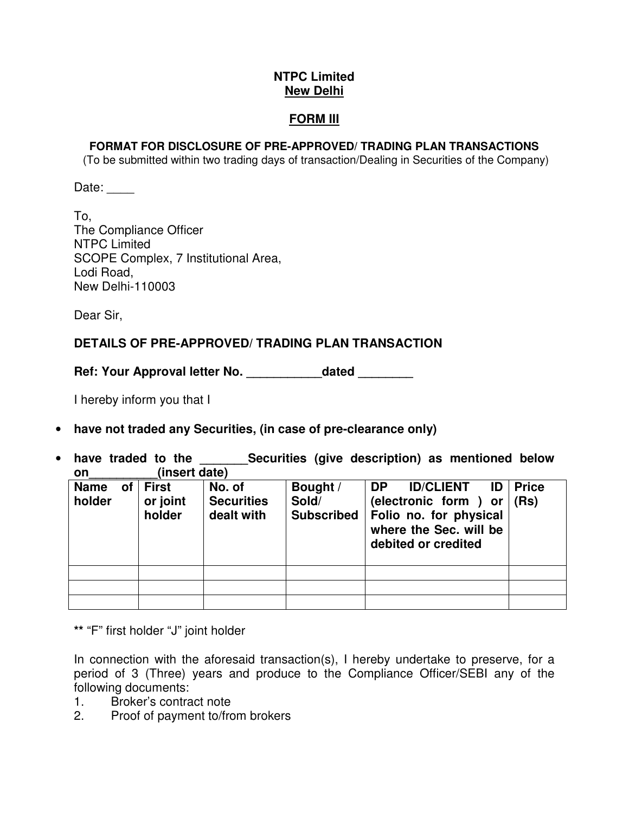#### **FORM III**

#### **FORMAT FOR DISCLOSURE OF PRE-APPROVED/ TRADING PLAN TRANSACTIONS**

(To be submitted within two trading days of transaction/Dealing in Securities of the Company)

Date:

To, The Compliance Officer NTPC Limited SCOPE Complex, 7 Institutional Area, Lodi Road, New Delhi-110003

Dear Sir,

# **DETAILS OF PRE-APPROVED/ TRADING PLAN TRANSACTION**

Ref: Your Approval letter No. \_\_\_\_\_\_\_\_\_\_\_\_dated \_\_\_\_\_\_\_\_

I hereby inform you that I

- **have not traded any Securities, (in case of pre-clearance only)**
- have traded to the **Securities (give description)** as mentioned below **on\_\_\_\_\_\_\_\_\_\_(insert date)**

| Name of<br>holder | <b>First</b><br>or joint<br>holder | No. of<br><b>Securities</b><br>dealt with | Bought /<br>Sold/<br><b>Subscribed</b> | <b>DP</b><br><b>ID/CLIENT</b><br>ID<br>(electronic form) or<br>Folio no. for physical<br>where the Sec. will be<br>debited or credited | <b>Price</b><br>(Rs) |
|-------------------|------------------------------------|-------------------------------------------|----------------------------------------|----------------------------------------------------------------------------------------------------------------------------------------|----------------------|
|                   |                                    |                                           |                                        |                                                                                                                                        |                      |
|                   |                                    |                                           |                                        |                                                                                                                                        |                      |
|                   |                                    |                                           |                                        |                                                                                                                                        |                      |

**\*\*** "F" first holder "J" joint holder

In connection with the aforesaid transaction(s), I hereby undertake to preserve, for a period of 3 (Three) years and produce to the Compliance Officer/SEBI any of the following documents:

- 1. Broker's contract note
- 2. Proof of payment to/from brokers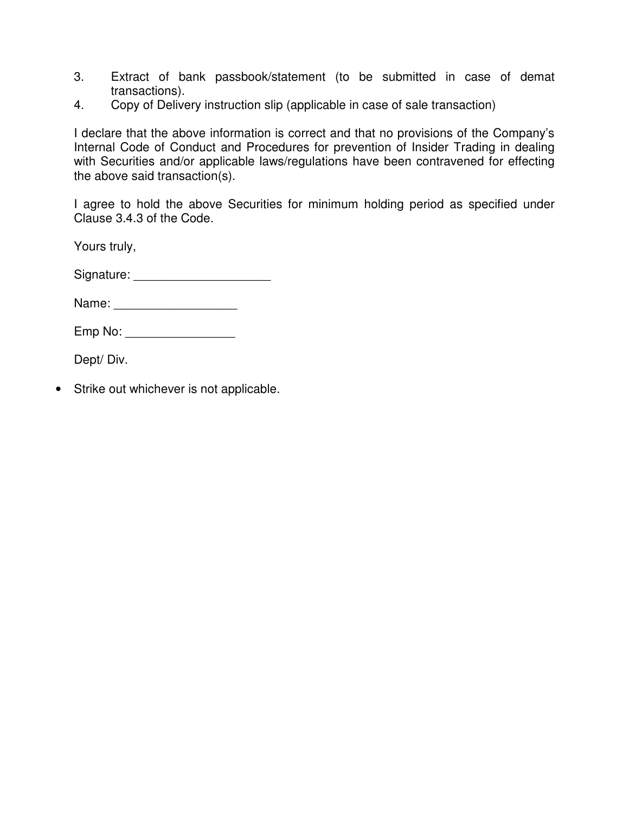- 3. Extract of bank passbook/statement (to be submitted in case of demat transactions).
- 4. Copy of Delivery instruction slip (applicable in case of sale transaction)

I declare that the above information is correct and that no provisions of the Company's Internal Code of Conduct and Procedures for prevention of Insider Trading in dealing with Securities and/or applicable laws/regulations have been contravened for effecting the above said transaction(s).

I agree to hold the above Securities for minimum holding period as specified under Clause 3.4.3 of the Code.

Yours truly,

Signature: \_\_\_\_\_\_\_\_\_\_\_\_\_\_\_\_\_\_\_\_

Emp No: \_\_\_\_\_\_\_\_\_\_\_\_\_\_\_\_

Dept/ Div.

• Strike out whichever is not applicable.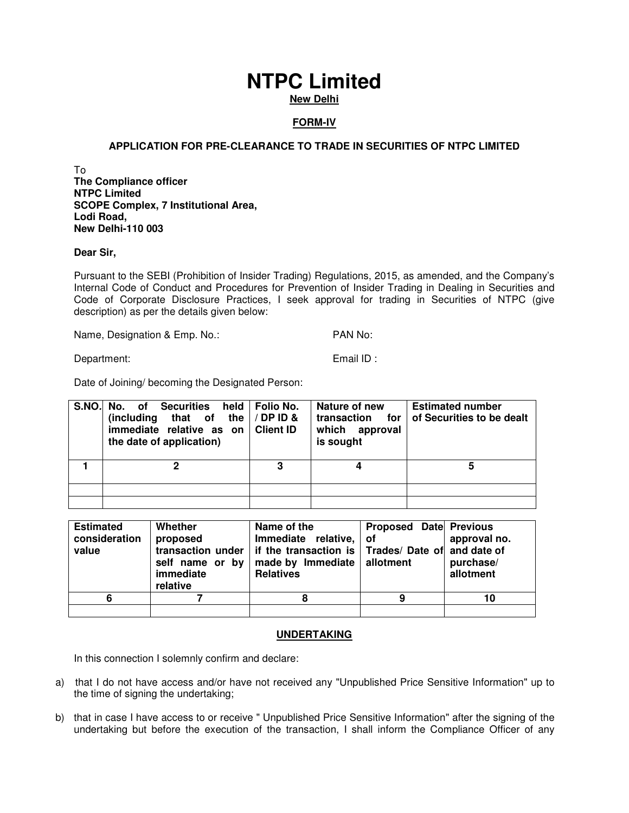# **FORM-IV**

#### **APPLICATION FOR PRE-CLEARANCE TO TRADE IN SECURITIES OF NTPC LIMITED**

To **The Compliance officer NTPC Limited SCOPE Complex, 7 Institutional Area, Lodi Road, New Delhi-110 003** 

#### **Dear Sir,**

Pursuant to the SEBI (Prohibition of Insider Trading) Regulations, 2015, as amended, and the Company's Internal Code of Conduct and Procedures for Prevention of Insider Trading in Dealing in Securities and Code of Corporate Disclosure Practices, I seek approval for trading in Securities of NTPC (give description) as per the details given below:

Name, Designation & Emp. No.: PAN No:

Department: Email ID :

Date of Joining/ becoming the Designated Person:

| S.NO. No. of Securities<br>held  <br>(including that of the $\frac{1}{2}$ DP ID &<br>immediate relative as on<br>the date of application) | Folio No.<br><b>Client ID</b> | Nature of new<br>transaction<br>for<br>which approval<br>is sought | <b>Estimated number</b><br>of Securities to be dealt |
|-------------------------------------------------------------------------------------------------------------------------------------------|-------------------------------|--------------------------------------------------------------------|------------------------------------------------------|
|                                                                                                                                           | 3                             |                                                                    | 5                                                    |
|                                                                                                                                           |                               |                                                                    |                                                      |
|                                                                                                                                           |                               |                                                                    |                                                      |

| <b>Estimated</b><br>consideration<br>value | Whether<br>proposed<br>transaction under<br>self name or by<br>immediate<br>relative | Name of the<br>Immediate relative,<br>if the transaction is $ $ Trades/ Date of and date of<br>made by Immediate<br><b>Relatives</b> | Proposed Date Previous<br>∣ of<br>allotment | approval no.<br>purchase/<br>allotment |
|--------------------------------------------|--------------------------------------------------------------------------------------|--------------------------------------------------------------------------------------------------------------------------------------|---------------------------------------------|----------------------------------------|
| 6                                          |                                                                                      |                                                                                                                                      | q                                           | 10                                     |
|                                            |                                                                                      |                                                                                                                                      |                                             |                                        |

#### **UNDERTAKING**

In this connection I solemnly confirm and declare:

- a) that I do not have access and/or have not received any "Unpublished Price Sensitive Information" up to the time of signing the undertaking;
- b) that in case I have access to or receive " Unpublished Price Sensitive Information" after the signing of the undertaking but before the execution of the transaction, I shall inform the Compliance Officer of any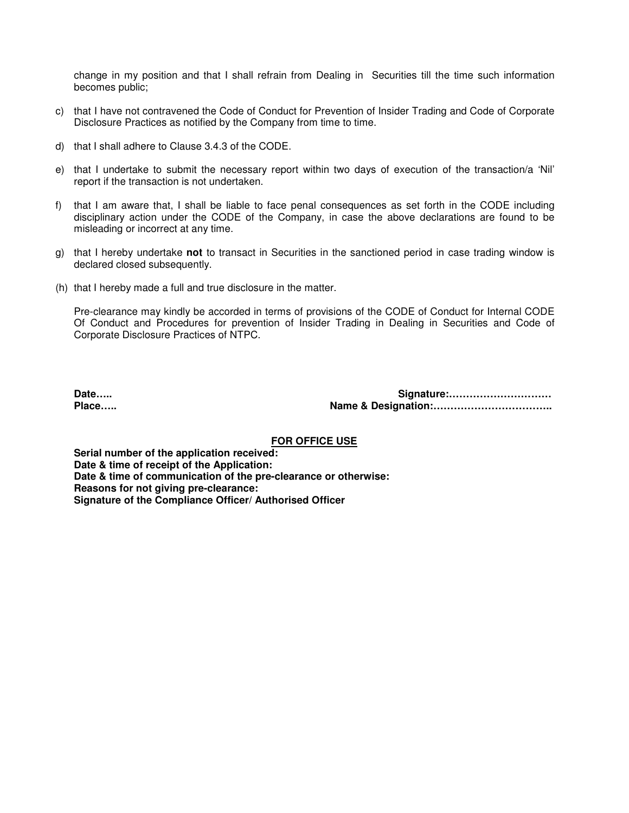change in my position and that I shall refrain from Dealing in Securities till the time such information becomes public;

- c) that I have not contravened the Code of Conduct for Prevention of Insider Trading and Code of Corporate Disclosure Practices as notified by the Company from time to time.
- d) that I shall adhere to Clause 3.4.3 of the CODE.
- e) that I undertake to submit the necessary report within two days of execution of the transaction/a 'Nil' report if the transaction is not undertaken.
- f) that I am aware that, I shall be liable to face penal consequences as set forth in the CODE including disciplinary action under the CODE of the Company, in case the above declarations are found to be misleading or incorrect at any time.
- g) that I hereby undertake **not** to transact in Securities in the sanctioned period in case trading window is declared closed subsequently.
- (h) that I hereby made a full and true disclosure in the matter.

Pre-clearance may kindly be accorded in terms of provisions of the CODE of Conduct for Internal CODE Of Conduct and Procedures for prevention of Insider Trading in Dealing in Securities and Code of Corporate Disclosure Practices of NTPC.

**Date….. Signature:………………………… Place….. Name & Designation:……………………………..** 

#### **FOR OFFICE USE**

**Serial number of the application received: Date & time of receipt of the Application: Date & time of communication of the pre-clearance or otherwise: Reasons for not giving pre-clearance: Signature of the Compliance Officer/ Authorised Officer**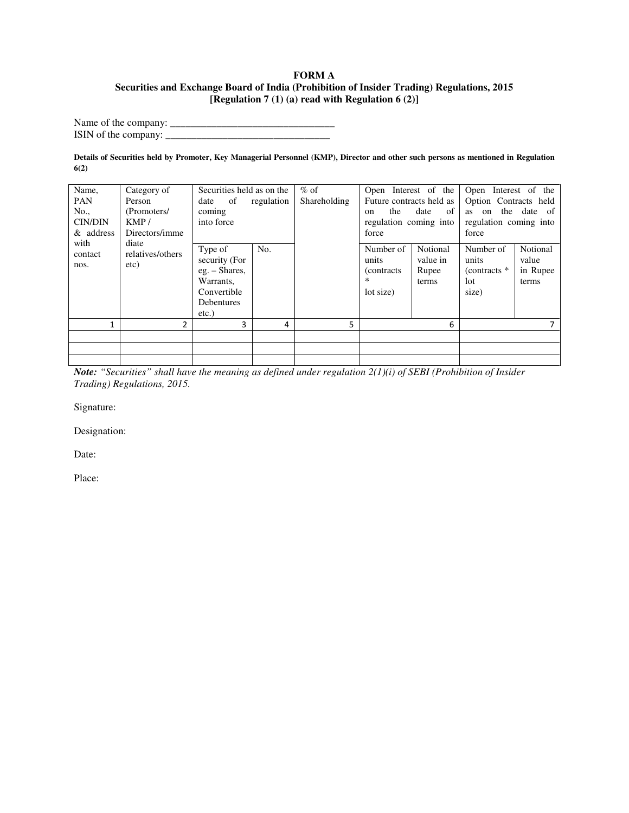#### **FORM A Securities and Exchange Board of India (Prohibition of Insider Trading) Regulations, 2015 [Regulation 7 (1) (a) read with Regulation 6 (2)]**

Name of the company: \_\_\_\_\_\_\_\_\_\_\_\_\_\_\_\_\_\_\_\_\_\_\_\_\_\_\_\_\_\_\_\_ ISIN of the company: \_\_\_\_\_\_\_\_\_\_\_\_\_\_\_\_\_\_\_\_\_\_\_\_\_\_\_\_\_\_\_\_

**Details of Securities held by Promoter, Key Managerial Personnel (KMP), Director and other such persons as mentioned in Regulation 6(2)** 

| Name,<br><b>PAN</b><br>No.,<br><b>CIN/DIN</b><br>& address | Category of<br>Person<br>(Promoters/<br>KMP/<br>Directors/imme<br>diate | Securities held as on the<br>of<br>date<br>coming<br>into force                                 | regulation | $%$ of<br>Shareholding | Open Interest of the<br>Future contracts held as<br>the<br>on<br>regulation coming into<br>force | date<br>of                             | Open Interest of the<br>Option Contracts held<br>as on the date of<br>regulation coming into<br>force |                                        |  |
|------------------------------------------------------------|-------------------------------------------------------------------------|-------------------------------------------------------------------------------------------------|------------|------------------------|--------------------------------------------------------------------------------------------------|----------------------------------------|-------------------------------------------------------------------------------------------------------|----------------------------------------|--|
| with<br>contact<br>nos.                                    | relatives/others<br>etc)                                                | Type of<br>security (For<br>eg. – Shares,<br>Warrants,<br>Convertible<br>Debentures<br>$etc.$ ) | No.        |                        | Number of<br>units<br><i>(contracts)</i><br>∗<br>lot size)                                       | Notional<br>value in<br>Rupee<br>terms | Number of<br>units<br>$(contrast * )$<br>lot<br>size)                                                 | Notional<br>value<br>in Rupee<br>terms |  |
| 1                                                          | 2                                                                       | 3                                                                                               | 4          | 5.                     |                                                                                                  | 6                                      |                                                                                                       |                                        |  |
|                                                            |                                                                         |                                                                                                 |            |                        |                                                                                                  |                                        |                                                                                                       |                                        |  |
|                                                            |                                                                         |                                                                                                 |            |                        |                                                                                                  |                                        |                                                                                                       |                                        |  |
|                                                            |                                                                         |                                                                                                 |            |                        |                                                                                                  |                                        |                                                                                                       |                                        |  |

*Note: "Securities" shall have the meaning as defined under regulation 2(1)(i) of SEBI (Prohibition of Insider Trading) Regulations, 2015.* 

Signature:

Designation:

Date: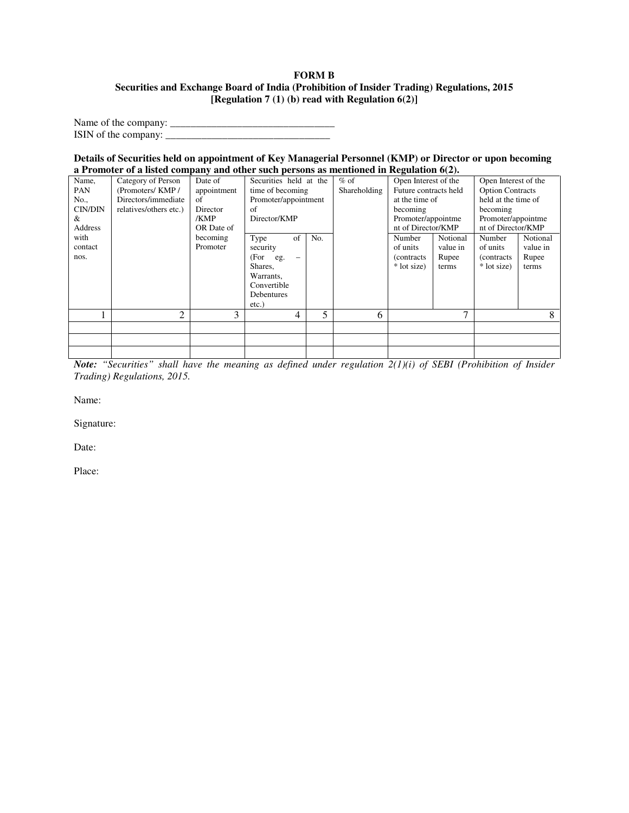#### **FORM B Securities and Exchange Board of India (Prohibition of Insider Trading) Regulations, 2015 [Regulation 7 (1) (b) read with Regulation 6(2)]**

Name of the company: \_\_\_\_\_\_\_\_\_\_\_\_\_\_\_\_\_\_\_\_\_\_\_\_\_\_\_\_\_\_\_\_ ISIN of the company: \_\_\_\_\_\_\_\_\_\_\_\_\_\_\_\_\_\_\_\_\_\_\_\_\_\_\_\_\_\_\_\_

#### **Details of Securities held on appointment of Key Managerial Personnel (KMP) or Director or upon becoming a Promoter of a listed company and other such persons as mentioned in Regulation 6(2).**

|         | <b>Tromoter</b> of a motel company and other bach persons as membened in regulation $\sigma(\mathbf{r})$ |             |                                  |     |                       |                      |                         |                                |          |
|---------|----------------------------------------------------------------------------------------------------------|-------------|----------------------------------|-----|-----------------------|----------------------|-------------------------|--------------------------------|----------|
| Name,   | Category of Person                                                                                       | Date of     | Securities held at the           |     | $%$ of                | Open Interest of the |                         | Open Interest of the           |          |
| PAN     | (Promoters/KMP/                                                                                          | appointment | Shareholding<br>time of becoming |     | Future contracts held |                      | <b>Option Contracts</b> |                                |          |
| No.,    | Directors/immediate                                                                                      | of          | Promoter/appointment             |     |                       | at the time of       |                         | held at the time of            |          |
| CIN/DIN | relatives/others etc.)                                                                                   | Director    | of                               |     |                       | becoming             |                         | becoming<br>Promoter/appointme |          |
| &       |                                                                                                          | /KMP        | Director/KMP                     |     |                       | Promoter/appointme   |                         |                                |          |
| Address |                                                                                                          | OR Date of  |                                  |     | nt of Director/KMP    |                      | nt of Director/KMP      |                                |          |
| with    |                                                                                                          | becoming    | Type<br>of                       | No. |                       | Number               | Notional                | Number                         | Notional |
| contact |                                                                                                          | Promoter    | security                         |     |                       | of units             | value in                | of units                       | value in |
| nos.    |                                                                                                          |             | (For<br>eg.                      |     |                       | (contracts)          | Rupee                   | (contracts)                    | Rupee    |
|         |                                                                                                          |             | Shares,                          |     |                       | * lot size)          | terms                   | * lot size)                    | terms    |
|         |                                                                                                          |             | Warrants.                        |     |                       |                      |                         |                                |          |
|         |                                                                                                          |             | Convertible                      |     |                       |                      |                         |                                |          |
|         |                                                                                                          |             | Debentures                       |     |                       |                      |                         |                                |          |
|         |                                                                                                          |             | $etc.$ )                         |     |                       |                      |                         |                                |          |
|         | 2                                                                                                        | 3           | 4                                | 5   | 6                     |                      | 7                       |                                | 8        |
|         |                                                                                                          |             |                                  |     |                       |                      |                         |                                |          |
|         |                                                                                                          |             |                                  |     |                       |                      |                         |                                |          |
|         |                                                                                                          |             |                                  |     |                       |                      |                         |                                |          |

*Note: "Securities" shall have the meaning as defined under regulation 2(1)(i) of SEBI (Prohibition of Insider Trading) Regulations, 2015.* 

Name:

Signature:

Date: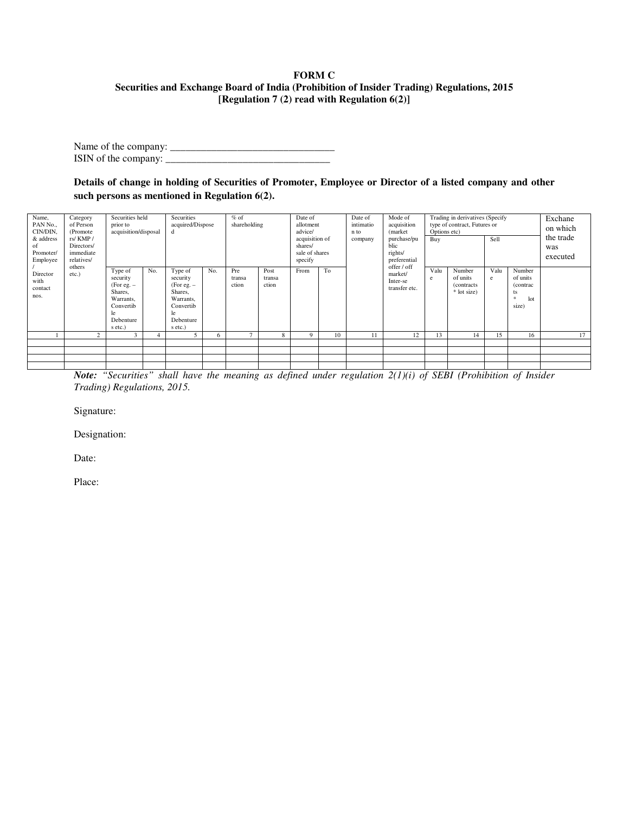#### **FORM C Securities and Exchange Board of India (Prohibition of Insider Trading) Regulations, 2015 [Regulation 7 (2) read with Regulation 6(2)]**

Name of the company: \_\_\_\_\_\_\_\_\_\_\_\_\_\_\_\_\_\_\_\_\_\_\_\_\_\_\_\_\_\_\_\_ ISIN of the company:  $\frac{1}{2}$   $\frac{1}{2}$   $\frac{1}{2}$   $\frac{1}{2}$   $\frac{1}{2}$   $\frac{1}{2}$   $\frac{1}{2}$   $\frac{1}{2}$   $\frac{1}{2}$   $\frac{1}{2}$   $\frac{1}{2}$   $\frac{1}{2}$   $\frac{1}{2}$   $\frac{1}{2}$   $\frac{1}{2}$   $\frac{1}{2}$   $\frac{1}{2}$   $\frac{1}{2}$   $\frac{1}{2}$   $\frac{1}{2}$ 

**Details of change in holding of Securities of Promoter, Employee or Director of a listed company and other such persons as mentioned in Regulation 6(2).** 

| Name,<br>Category<br>PAN No.,<br>of Person<br>CIN/DIN,<br>(Promote<br>& address<br>rs/KMP/<br>Directors/<br>of<br>immediate<br>Promoter/<br>relatives/<br>Employee | Securities held<br>prior to<br>acquisition/disposal |                                                                                                         | Securities<br>acquired/Dispose<br>d |                                                                                                         | $%$ of<br>shareholding |                        | Date of<br>allotment<br>advice/<br>acquisition of<br>shares/<br>sale of shares<br>specify |          | Date of<br>intimatio<br>n to<br>company | Mode of<br>acquisition<br>(market)<br>purchase/pu<br>blic<br>rights/<br>preferential | Options etc)<br>Buy                                 | Trading in derivatives (Specify<br>type of contract, Futures or | Sell                                             |           | Exchane<br>on which<br>the trade<br>was<br>executed   |    |
|--------------------------------------------------------------------------------------------------------------------------------------------------------------------|-----------------------------------------------------|---------------------------------------------------------------------------------------------------------|-------------------------------------|---------------------------------------------------------------------------------------------------------|------------------------|------------------------|-------------------------------------------------------------------------------------------|----------|-----------------------------------------|--------------------------------------------------------------------------------------|-----------------------------------------------------|-----------------------------------------------------------------|--------------------------------------------------|-----------|-------------------------------------------------------|----|
| Director<br>with<br>contact<br>nos.                                                                                                                                | others<br>etc.)                                     | Type of<br>security<br>$(For e.g. -$<br>Shares,<br>Warrants,<br>Convertib<br>le<br>Debenture<br>s etc.) | No.                                 | Type of<br>security<br>$(For e.g. -$<br>Shares,<br>Warrants,<br>Convertib<br>le<br>Debenture<br>s etc.) | No.                    | Pre<br>transa<br>ction | Post<br>transa<br>ction                                                                   | From     | To                                      |                                                                                      | offer / off<br>market/<br>Inter-se<br>transfer etc. | Valu<br>e                                                       | Number<br>of units<br>(contracts)<br>* lot size) | Valu<br>e | Number<br>of units<br>(contrac)<br>ts<br>lot<br>size) |    |
|                                                                                                                                                                    | $\mathcal{D}$                                       | 3                                                                                                       |                                     |                                                                                                         | 6                      |                        | 8                                                                                         | $\Omega$ | 10                                      | 11                                                                                   | 12                                                  | 13                                                              | 14                                               | 15        | 16                                                    | 17 |
|                                                                                                                                                                    |                                                     |                                                                                                         |                                     |                                                                                                         |                        |                        |                                                                                           |          |                                         |                                                                                      |                                                     |                                                                 |                                                  |           |                                                       |    |
|                                                                                                                                                                    |                                                     |                                                                                                         |                                     |                                                                                                         |                        |                        |                                                                                           |          |                                         |                                                                                      |                                                     |                                                                 |                                                  |           |                                                       |    |
|                                                                                                                                                                    |                                                     |                                                                                                         |                                     |                                                                                                         |                        |                        |                                                                                           |          |                                         |                                                                                      |                                                     |                                                                 |                                                  |           |                                                       |    |
|                                                                                                                                                                    |                                                     |                                                                                                         |                                     |                                                                                                         |                        |                        |                                                                                           |          |                                         |                                                                                      |                                                     |                                                                 |                                                  |           |                                                       |    |

*Note: "Securities" shall have the meaning as defined under regulation 2(1)(i) of SEBI (Prohibition of Insider Trading) Regulations, 2015.* 

Signature:

Designation:

Date: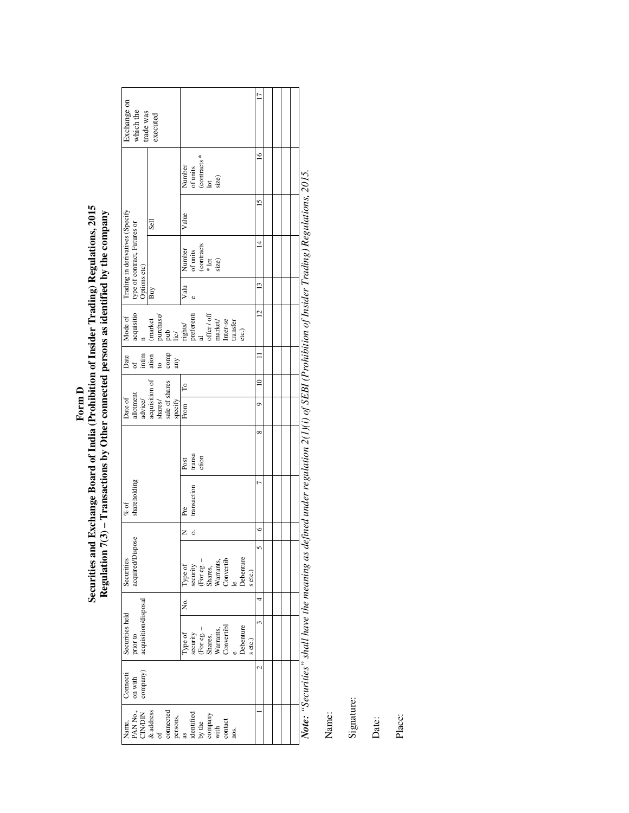| Exchange on                                                                     | which the                                  | trade was            | executed                                            |                |                                                                             |         |                                                                   |                                                     |  |                                                                                                                     |      |                  |         | ⋍               |  |  |
|---------------------------------------------------------------------------------|--------------------------------------------|----------------------|-----------------------------------------------------|----------------|-----------------------------------------------------------------------------|---------|-------------------------------------------------------------------|-----------------------------------------------------|--|---------------------------------------------------------------------------------------------------------------------|------|------------------|---------|-----------------|--|--|
|                                                                                 |                                            |                      |                                                     |                |                                                                             |         | Number                                                            | of units<br>(contracts *<br>$\frac{1}{10}$<br>size) |  |                                                                                                                     |      |                  |         | $\approx$       |  |  |
|                                                                                 |                                            |                      | Sell                                                |                |                                                                             |         | Value                                                             |                                                     |  |                                                                                                                     |      |                  |         | $\overline{15}$ |  |  |
| Trading in derivatives (Specify<br>type of contract, Futures or<br>Options etc) |                                            |                      |                                                     |                |                                                                             |         | Number                                                            | of units<br>(contracts<br>* lot<br>size)            |  |                                                                                                                     |      |                  |         | ⋣               |  |  |
|                                                                                 |                                            |                      | Buy                                                 |                |                                                                             |         | Valu                                                              |                                                     |  |                                                                                                                     |      |                  |         | $\frac{3}{2}$   |  |  |
| Mode of                                                                         | acquisitio                                 |                      | (market                                             |                | $\begin{array}{l} \text{pucbase/} \\ \text{pub} \\ \text{lic/} \end{array}$ |         | rights/<br>preferenti<br>al                                       |                                                     |  | $\begin{array}{l} \text{offer}\; / \;\text{off} \\ \text{market} \\ \text{Inter-se} \\ \text{transfer} \end{array}$ |      | etc.)            |         | $\overline{a}$  |  |  |
|                                                                                 | Date<br>$\frac{d}{dt}$<br>in time<br>ation |                      |                                                     | $\overline{c}$ | $_{\rm comp}$                                                               | any     |                                                                   |                                                     |  |                                                                                                                     |      |                  |         |                 |  |  |
|                                                                                 |                                            |                      | acquisition of<br>shares/                           |                |                                                                             |         | T <sub>0</sub>                                                    |                                                     |  |                                                                                                                     |      |                  |         | $\approx$       |  |  |
| Date of                                                                         | allotment                                  | advice/              |                                                     |                | sale of shares                                                              | specify | From                                                              |                                                     |  |                                                                                                                     |      |                  |         | $\circ$         |  |  |
|                                                                                 |                                            |                      |                                                     |                |                                                                             |         | Post                                                              | transa<br>ction                                     |  |                                                                                                                     |      |                  |         | ∞               |  |  |
| $\%$ of                                                                         | shareholding                               |                      |                                                     |                |                                                                             |         | Pre                                                               | transaction                                         |  |                                                                                                                     |      |                  |         |                 |  |  |
|                                                                                 |                                            |                      |                                                     |                |                                                                             |         | Z                                                                 | .<br>0                                              |  |                                                                                                                     |      |                  |         | $\circ$         |  |  |
| Securities                                                                      | acquired/Dispose                           |                      |                                                     |                |                                                                             |         |                                                                   |                                                     |  | Type of<br>security<br>security<br>(For eg. –<br>Shares,<br>Warrants,<br>Warrants, Convertib                        |      | <b>Debenture</b> | s etc.) |                 |  |  |
|                                                                                 |                                            |                      |                                                     |                |                                                                             |         | Σó,                                                               |                                                     |  |                                                                                                                     |      |                  |         |                 |  |  |
| Securities held                                                                 | prior to                                   | acquisition/disposal |                                                     |                |                                                                             |         |                                                                   |                                                     |  | Type of<br>security<br>(For eg. –<br>Shares,<br>Shares,<br>Warrants,<br>Warrants,                                   |      | <b>Debenture</b> | s etc.) |                 |  |  |
| Connecti                                                                        | on with                                    | company)             |                                                     |                |                                                                             |         |                                                                   |                                                     |  |                                                                                                                     |      |                  |         |                 |  |  |
| Name,                                                                           |                                            |                      | PAN No.,<br>CIN/DIN<br>& address<br>of<br>connected |                |                                                                             |         | persons,<br>as<br>identified<br>by the<br>company<br>with<br>with |                                                     |  |                                                                                                                     | nos. |                  |         |                 |  |  |

Note: "Securities" shall have the meaning as defined under regulation 2(1)(i) of SEBI (Prohibition of Insider Trading) Regulations, 2015. *Note: "Securities" shall have the meaning as defined under regulation 2(1)(i) of SEBI (Prohibition of Insider Trading) Regulations, 2015.* 

Name:

Signature:

Date: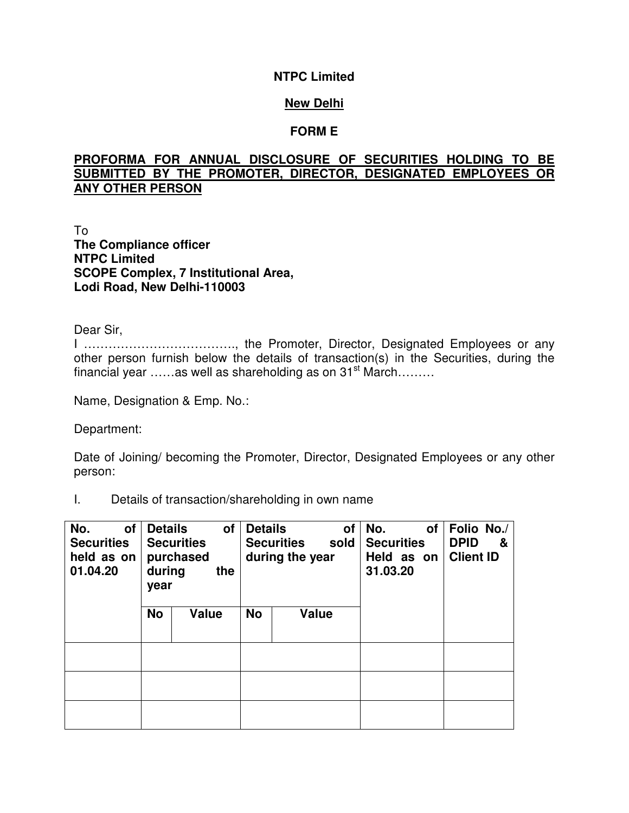### **NTPC Limited**

### **New Delhi**

### **FORM E**

# **PROFORMA FOR ANNUAL DISCLOSURE OF SECURITIES HOLDING TO BE SUBMITTED BY THE PROMOTER, DIRECTOR, DESIGNATED EMPLOYEES OR ANY OTHER PERSON**

To **The Compliance officer NTPC Limited SCOPE Complex, 7 Institutional Area, Lodi Road, New Delhi-110003** 

Dear Sir,

I ………………………………., the Promoter, Director, Designated Employees or any other person furnish below the details of transaction(s) in the Securities, during the financial year  $\ldots$  as well as shareholding as on 31<sup>st</sup> March... $\ldots$ 

Name, Designation & Emp. No.:

Department:

Date of Joining/ becoming the Promoter, Director, Designated Employees or any other person:

I. Details of transaction/shareholding in own name

| No.<br>οf<br><b>Securities</b><br>held as on<br>01.04.20 | <b>Details</b><br>during<br>year | <b>Securities</b><br>purchased | of<br>the | <b>Details</b> | <b>Securities</b><br>during the year | οf<br>sold | No.<br><b>Securities</b><br>Held as on<br>31.03.20 | οf | Folio No./<br><b>DPID</b><br>&<br><b>Client ID</b> |
|----------------------------------------------------------|----------------------------------|--------------------------------|-----------|----------------|--------------------------------------|------------|----------------------------------------------------|----|----------------------------------------------------|
|                                                          | <b>No</b>                        | <b>Value</b>                   |           | <b>No</b>      | <b>Value</b>                         |            |                                                    |    |                                                    |
|                                                          |                                  |                                |           |                |                                      |            |                                                    |    |                                                    |
|                                                          |                                  |                                |           |                |                                      |            |                                                    |    |                                                    |
|                                                          |                                  |                                |           |                |                                      |            |                                                    |    |                                                    |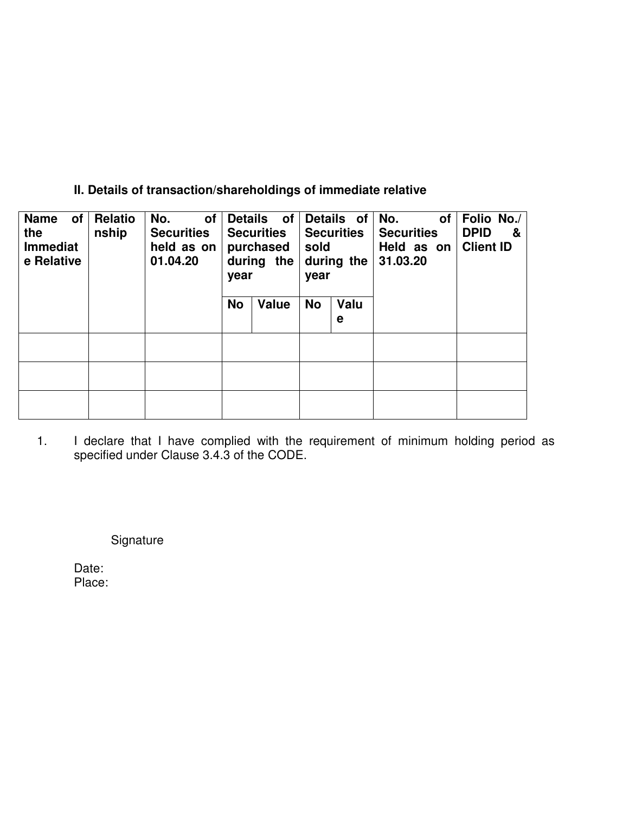# **II. Details of transaction/shareholdings of immediate relative**

| of<br><b>Name</b><br>the<br><b>Immediat</b><br>e Relative | Relatio<br>nship | No.<br><b>of</b><br><b>Securities</b><br>held as on<br>01.04.20 | year      | Details of<br><b>Securities</b><br>purchased<br>during the | sold<br>year | Details of<br><b>Securities</b><br>during the | No.<br><b>of</b><br><b>Securities</b><br>Held as on<br>31.03.20 | Folio No./<br><b>DPID</b><br>&<br><b>Client ID</b> |
|-----------------------------------------------------------|------------------|-----------------------------------------------------------------|-----------|------------------------------------------------------------|--------------|-----------------------------------------------|-----------------------------------------------------------------|----------------------------------------------------|
|                                                           |                  |                                                                 | <b>No</b> | Value                                                      | <b>No</b>    | Valu<br>е                                     |                                                                 |                                                    |
|                                                           |                  |                                                                 |           |                                                            |              |                                               |                                                                 |                                                    |
|                                                           |                  |                                                                 |           |                                                            |              |                                               |                                                                 |                                                    |
|                                                           |                  |                                                                 |           |                                                            |              |                                               |                                                                 |                                                    |

1. I declare that I have complied with the requirement of minimum holding period as specified under Clause 3.4.3 of the CODE.

Signature

Date: Place: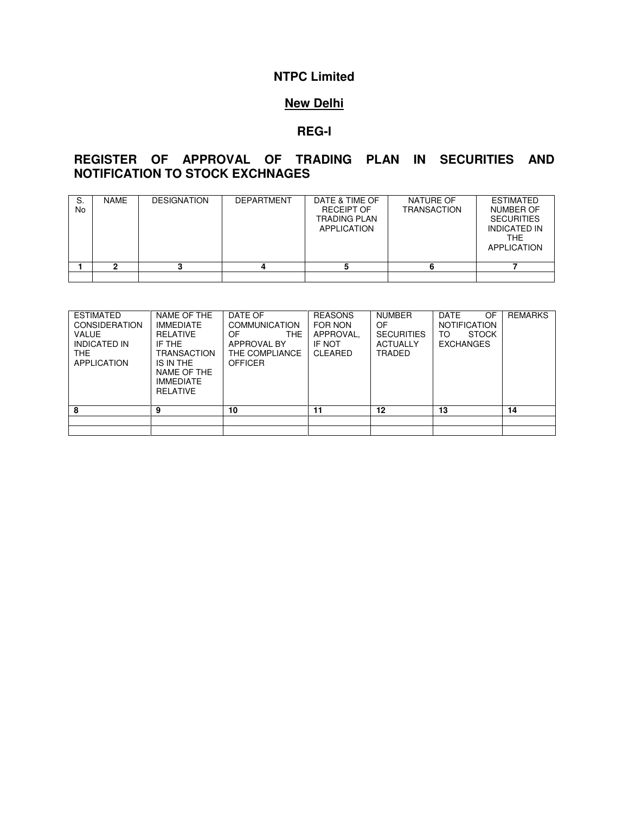# **NTPC Limited**

# **New Delhi**

### **REG-I**

# **REGISTER OF APPROVAL OF TRADING PLAN IN SECURITIES AND NOTIFICATION TO STOCK EXCHNAGES**

| S.<br>No | <b>NAME</b> | <b>DESIGNATION</b> | <b>DEPARTMENT</b> | DATE & TIME OF<br><b>RECEIPT OF</b><br><b>TRADING PLAN</b><br>APPLICATION | NATURE OF<br><b>TRANSACTION</b> | <b>ESTIMATED</b><br><b>NUMBER OF</b><br><b>SECURITIES</b><br><b>INDICATED IN</b><br><b>THE</b><br><b>APPLICATION</b> |
|----------|-------------|--------------------|-------------------|---------------------------------------------------------------------------|---------------------------------|----------------------------------------------------------------------------------------------------------------------|
|          |             |                    |                   |                                                                           |                                 |                                                                                                                      |
|          |             |                    |                   |                                                                           |                                 |                                                                                                                      |

| <b>ESTIMATED</b><br><b>CONSIDERATION</b><br><b>VALUE</b><br><b>INDICATED IN</b><br><b>THE</b><br><b>APPLICATION</b> | NAME OF THE<br><b>IMMEDIATE</b><br>RELATIVE<br>IF THE<br><b>TRANSACTION</b><br>IS IN THE<br>NAME OF THE<br><b>IMMEDIATE</b><br>RELATIVE | DATE OF<br><b>COMMUNICATION</b><br>THE.<br>OF.<br>APPROVAL BY<br>THE COMPLIANCE.<br><b>OFFICER</b> | <b>REASONS</b><br>FOR NON<br>APPROVAL.<br>IF NOT<br>CLEARED | <b>NUMBER</b><br>OF<br><b>SECURITIES</b><br><b>ACTUALLY</b><br>TRADED | <b>DATE</b><br>OF.<br><b>NOTIFICATION</b><br><b>STOCK</b><br>TO<br><b>EXCHANGES</b> | <b>REMARKS</b> |
|---------------------------------------------------------------------------------------------------------------------|-----------------------------------------------------------------------------------------------------------------------------------------|----------------------------------------------------------------------------------------------------|-------------------------------------------------------------|-----------------------------------------------------------------------|-------------------------------------------------------------------------------------|----------------|
| 8                                                                                                                   | 9                                                                                                                                       | 10                                                                                                 | 11                                                          | 12                                                                    | 13                                                                                  | 14             |
|                                                                                                                     |                                                                                                                                         |                                                                                                    |                                                             |                                                                       |                                                                                     |                |
|                                                                                                                     |                                                                                                                                         |                                                                                                    |                                                             |                                                                       |                                                                                     |                |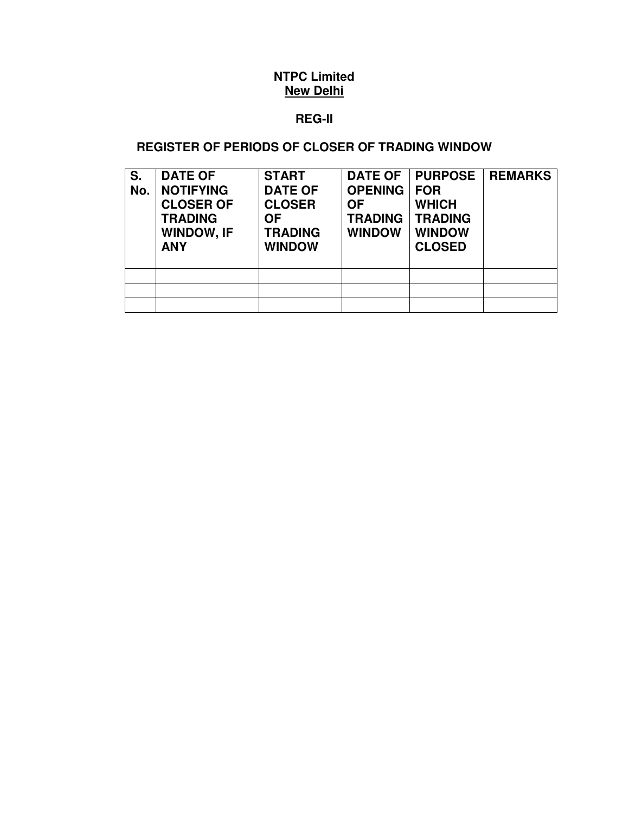# **REG-II**

# **REGISTER OF PERIODS OF CLOSER OF TRADING WINDOW**

| S.<br>No. | <b>DATE OF</b><br><b>NOTIFYING</b><br><b>CLOSER OF</b><br><b>TRADING</b><br><b>WINDOW, IF</b><br><b>ANY</b> | <b>START</b><br><b>DATE OF</b><br><b>CLOSER</b><br><b>OF</b><br><b>TRADING</b><br><b>WINDOW</b> | <b>DATE OF</b><br><b>OPENING</b><br><b>OF</b><br><b>TRADING</b><br><b>WINDOW</b> | <b>PURPOSE</b><br><b>FOR</b><br><b>WHICH</b><br><b>TRADING</b><br><b>WINDOW</b><br><b>CLOSED</b> | <b>REMARKS</b> |
|-----------|-------------------------------------------------------------------------------------------------------------|-------------------------------------------------------------------------------------------------|----------------------------------------------------------------------------------|--------------------------------------------------------------------------------------------------|----------------|
|           |                                                                                                             |                                                                                                 |                                                                                  |                                                                                                  |                |
|           |                                                                                                             |                                                                                                 |                                                                                  |                                                                                                  |                |
|           |                                                                                                             |                                                                                                 |                                                                                  |                                                                                                  |                |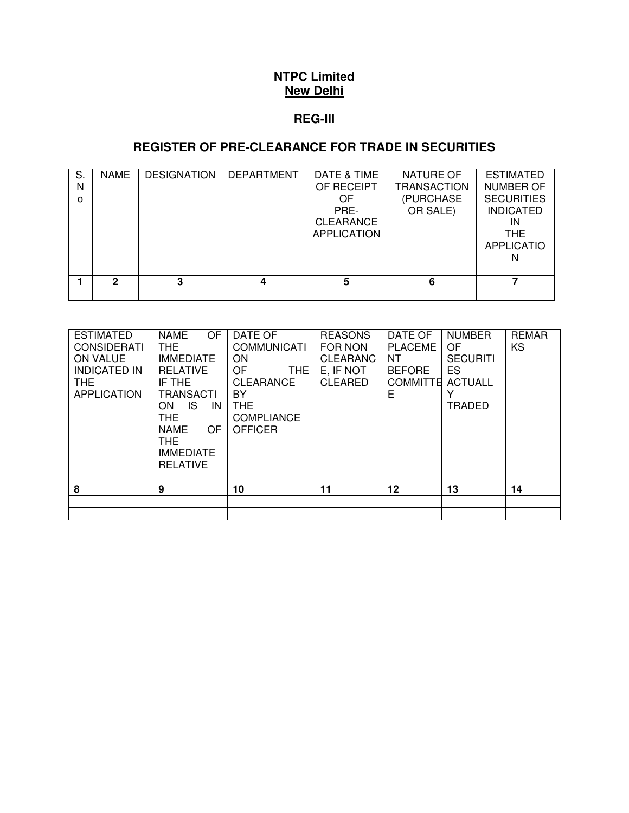#### **REG-III**

# **REGISTER OF PRE-CLEARANCE FOR TRADE IN SECURITIES**

| S.<br>N<br><sup>o</sup> | <b>NAME</b> | <b>DESIGNATION</b> | <b>DEPARTMENT</b> | DATE & TIME<br>OF RECEIPT<br>OF<br>PRE-<br><b>CLEARANCE</b><br><b>APPLICATION</b> | NATURE OF<br>TRANSACTION<br>(PURCHASE<br>OR SALE) | <b>ESTIMATED</b><br>NUMBER OF<br><b>SECURITIES</b><br><b>INDICATED</b><br>IN<br>THE.<br><b>APPLICATIO</b> |
|-------------------------|-------------|--------------------|-------------------|-----------------------------------------------------------------------------------|---------------------------------------------------|-----------------------------------------------------------------------------------------------------------|
|                         | 2           | າ                  |                   | 5                                                                                 | 6                                                 |                                                                                                           |
|                         |             |                    |                   |                                                                                   |                                                   |                                                                                                           |

| <b>ESTIMATED</b><br><b>CONSIDERATI</b><br><b>ON VALUE</b><br><b>INDICATED IN</b><br>THE.<br><b>APPLICATION</b> | <b>NAME</b><br><b>OF</b><br>THE.<br><b>IMMEDIATE</b><br><b>RELATIVE</b><br>IF THE<br><b>TRANSACTI</b><br>IS.<br>IN<br>ON.<br>THE.<br>NAME<br>OF<br>THE.<br><b>IMMEDIATE</b><br><b>RELATIVE</b> | DATE OF<br><b>COMMUNICATI</b><br><b>ON</b><br><b>OF</b><br>THE.<br>CLEARANCE<br>BY.<br>THE.<br><b>COMPLIANCE</b><br><b>OFFICER</b> | <b>REASONS</b><br>FOR NON<br><b>CLEARANC</b><br>E, IF NOT<br><b>CLEARED</b> | DATE OF<br><b>PLACEME</b><br>NT.<br><b>BEFORE</b><br><b>COMMITTE</b><br>Е | <b>NUMBER</b><br>OF.<br><b>SECURITI</b><br>ES.<br><b>ACTUALL</b><br>TRADED | <b>REMAR</b><br>KS |
|----------------------------------------------------------------------------------------------------------------|------------------------------------------------------------------------------------------------------------------------------------------------------------------------------------------------|------------------------------------------------------------------------------------------------------------------------------------|-----------------------------------------------------------------------------|---------------------------------------------------------------------------|----------------------------------------------------------------------------|--------------------|
| 8                                                                                                              | 9                                                                                                                                                                                              | 10                                                                                                                                 | 11                                                                          | 12                                                                        | 13                                                                         | 14                 |
|                                                                                                                |                                                                                                                                                                                                |                                                                                                                                    |                                                                             |                                                                           |                                                                            |                    |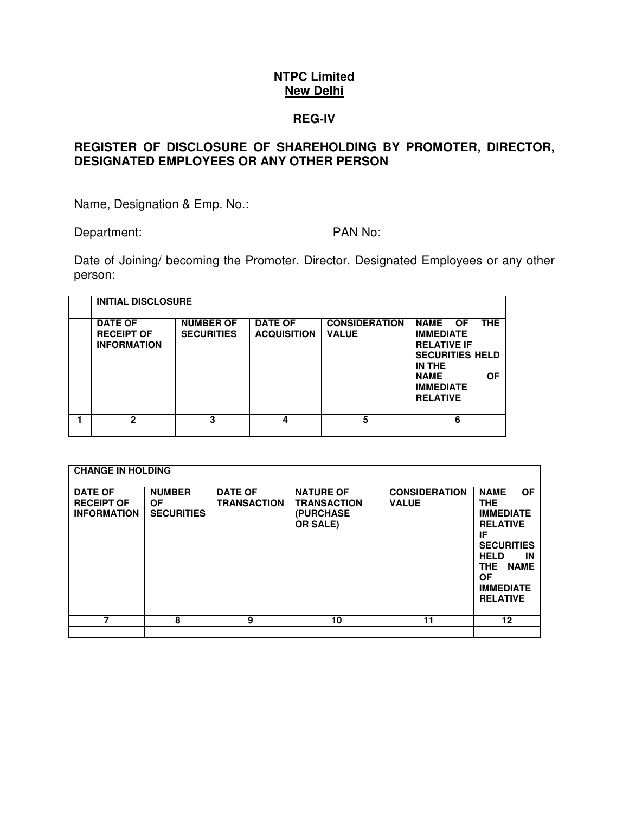#### **REG-IV**

### **REGISTER OF DISCLOSURE OF SHAREHOLDING BY PROMOTER, DIRECTOR, DESIGNATED EMPLOYEES OR ANY OTHER PERSON**

Name, Designation & Emp. No.:

Department: PAN No:

Date of Joining/ becoming the Promoter, Director, Designated Employees or any other person:

| <b>INITIAL DISCLOSURE</b>                                 |                                       |                                      |                                      |                                                                                                                                                                        |
|-----------------------------------------------------------|---------------------------------------|--------------------------------------|--------------------------------------|------------------------------------------------------------------------------------------------------------------------------------------------------------------------|
| <b>DATE OF</b><br><b>RECEIPT OF</b><br><b>INFORMATION</b> | <b>NUMBER OF</b><br><b>SECURITIES</b> | <b>DATE OF</b><br><b>ACQUISITION</b> | <b>CONSIDERATION</b><br><b>VALUE</b> | NAME OF<br><b>THE</b><br><b>IMMEDIATE</b><br><b>RELATIVE IF</b><br><b>SECURITIES HELD</b><br>IN THE<br><b>OF</b><br><b>NAME</b><br><b>IMMEDIATE</b><br><b>RELATIVE</b> |
| 2                                                         | 3                                     | 4                                    | 5                                    | 6                                                                                                                                                                      |
|                                                           |                                       |                                      |                                      |                                                                                                                                                                        |

|                                            | <b>CHANGE IN HOLDING</b><br><b>DATE OF</b><br><b>RECEIPT OF</b><br><b>INFORMATION</b> | <b>NUMBER</b><br><b>OF</b><br><b>SECURITIES</b> | <b>DATE OF</b><br><b>TRANSACTION</b> | <b>NATURE OF</b><br><b>TRANSACTION</b><br>(PURCHASE<br><b>OR SALE)</b> | <b>CONSIDERATION</b><br><b>VALUE</b> | <b>OF</b><br><b>NAME</b><br><b>THE</b><br><b>IMMEDIATE</b><br><b>RELATIVE</b><br>IF<br><b>SECURITIES</b><br><b>HELD</b><br>IN<br><b>NAME</b><br><b>THE</b><br><b>OF</b><br><b>IMMEDIATE</b><br><b>RELATIVE</b> |
|--------------------------------------------|---------------------------------------------------------------------------------------|-------------------------------------------------|--------------------------------------|------------------------------------------------------------------------|--------------------------------------|----------------------------------------------------------------------------------------------------------------------------------------------------------------------------------------------------------------|
| 7<br>8<br>9<br>10<br>12 <sup>2</sup><br>11 |                                                                                       |                                                 |                                      |                                                                        |                                      |                                                                                                                                                                                                                |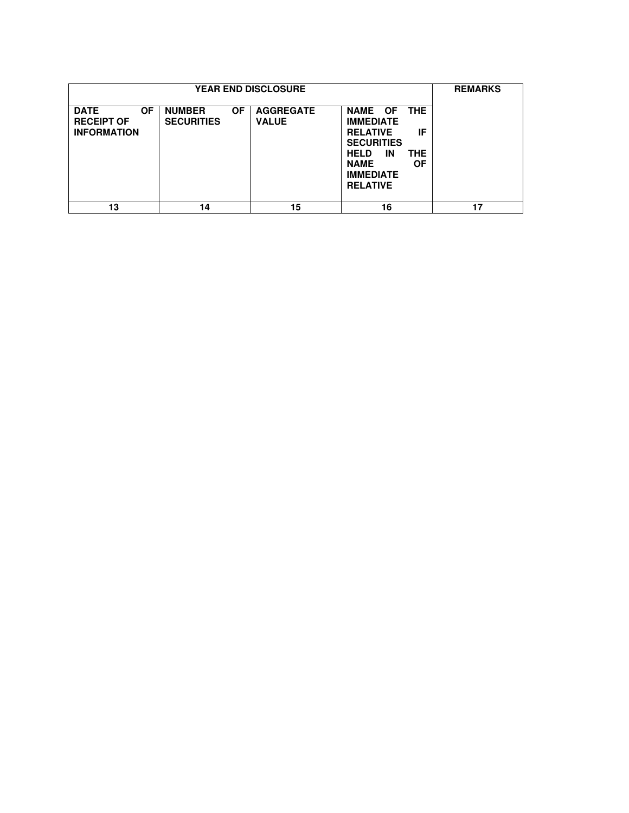|                                                                     | <b>REMARKS</b>                                  |                                  |                                                                                                                                                                       |    |
|---------------------------------------------------------------------|-------------------------------------------------|----------------------------------|-----------------------------------------------------------------------------------------------------------------------------------------------------------------------|----|
| <b>OF</b><br><b>DATE</b><br><b>RECEIPT OF</b><br><b>INFORMATION</b> | <b>NUMBER</b><br><b>OF</b><br><b>SECURITIES</b> | <b>AGGREGATE</b><br><b>VALUE</b> | NAME OF THE<br><b>IMMEDIATE</b><br>IF<br><b>RELATIVE</b><br><b>SECURITIES</b><br><b>HELD</b><br>ΙN<br>THE<br>ΟF<br><b>NAME</b><br><b>IMMEDIATE</b><br><b>RELATIVE</b> |    |
| 13                                                                  | 14                                              | 15                               | 16                                                                                                                                                                    | 17 |